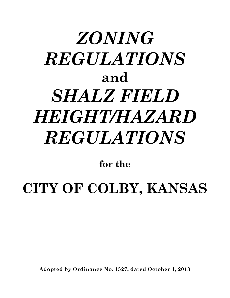# *ZONING REGULATIONS* **and** *SHALZ FIELD HEIGHT/HAZARD REGULATIONS*

**for the**

**CITY OF COLBY, KANSAS**

**Adopted by Ordinance No. 1527, dated October 1, 2013**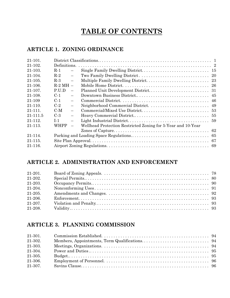# **TABLE OF CONTENTS**

## **ARTICLE 1. ZONING ORDINANCE**

| $21 - 101$ . |              |                   |                                                              |    |
|--------------|--------------|-------------------|--------------------------------------------------------------|----|
| $21 - 102.$  |              |                   |                                                              |    |
| 21-103.      | $R-1$        |                   |                                                              |    |
| 21-104.      | $R-2$        |                   |                                                              |    |
| $21 - 105.$  | $R-3$        |                   |                                                              |    |
| $21 - 106$ . | $R-2$ MH $-$ |                   |                                                              |    |
| 21-107.      | P.U.D        | $\equiv$          | Planned Unit Development District                            | 31 |
| 21-108.      | $C-1$        |                   |                                                              |    |
| 21-109       | $C-1$        |                   |                                                              |    |
| $21 - 110$ . | $C-2$        |                   |                                                              |    |
| $21 - 111$ . | C-M          | $\qquad \qquad -$ |                                                              |    |
| 21-111.5     | $C-3$        |                   |                                                              |    |
| 21-112.      | $T-1$        |                   |                                                              |    |
| 21-113.      | <b>WHPP</b>  |                   | Wellhead Protection Restricted Zoning for 5-Year and 10-Year |    |
|              |              |                   |                                                              |    |
| 21-114.      |              |                   |                                                              |    |
| $21 - 115.$  |              |                   |                                                              | 67 |
| $21 - 116$ . |              |                   |                                                              |    |
|              |              |                   |                                                              |    |

## **ARTICLE 2. ADMINISTRATION AND ENFORCEMENT**

| $21-201.$ |  |
|-----------|--|
| 21-202.   |  |
| 21-203.   |  |
| 21-204.   |  |
| $21-205.$ |  |
| 21-206.   |  |
| 21-207.   |  |
| 21-208.   |  |

## **ARTICLE 3. PLANNING COMMISSION**

| 21-301. |  |
|---------|--|
| 21-302. |  |
| 21-303. |  |
| 21-304. |  |
| 21-305. |  |
| 21-306. |  |
| 21-307. |  |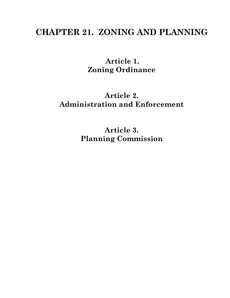# **CHAPTER 21. ZONING AND PLANNING**

**Article 1. Zoning Ordinance**

# **Article 2. Administration and Enforcement**

**Article 3. Planning Commission**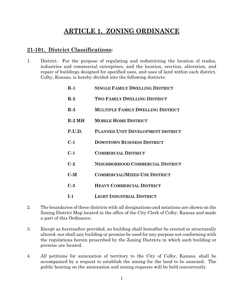# **ARTICLE 1. ZONING ORDINANCE**

#### **21-101. District Classifications:**

1. District: For the purpose of regulating and redistricting the location of trades, industries and commercial enterprises, and the location, erection, alteration, and repair of buildings designed for specified uses, and uses of land within each district, Colby, Kansas, is hereby divided into the following districts:

| $R-1$    | <b>SINGLE FAMILY DWELLING DISTRICT</b>   |
|----------|------------------------------------------|
| $R-2$    | TWO FAMILY DWELLING DISTRICT             |
| $R-3$    | <b>MULTIPLE FAMILY DWELLING DISTRICT</b> |
| $R-2$ MH | <b>MOBILE HOME DISTRICT</b>              |
| P.U.D.   | PLANNED UNIT DEVELOPMENT DISTRICT        |
| $C-1$    | <b>DOWNTOWN BUSINESS DISTRICT</b>        |
| $C-1$    | <b>COMMERCIAL DISTRICT</b>               |
| $C-2$    | <b>NEIGHBORHOOD COMMERCIAL DISTRICT</b>  |
| C-M      | <b>COMMERCIAL/MIXED USE DISTRICT</b>     |
| $C-3$    | <b>HEAVY COMMERCIAL DISTRICT</b>         |
| $L_{1}$  | <b>LIGHT INDUSTRIAL DISTRICT</b>         |

- 2. The boundaries of these districts with all designations and notations are shown on the Zoning District Map located in the office of the City Clerk of Colby, Kansas and made a part of this Ordinance.
- 3. Except as hereinafter provided, no building shall hereafter be erected or structurally altered, nor shall any building or premise be used for any purpose not conforming with the regulations herein prescribed by the Zoning Districts in which such building or premise are located.
- 4. All petitions for annexation of territory to the City of Colby, Kansas, shall be accompanied by a request to establish the zoning for the land to be annexed. The public hearing on the annexation and zoning requests will be held concurrently.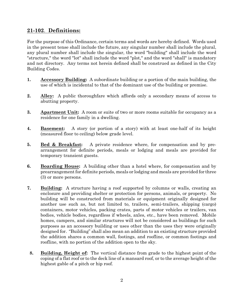## **21-102**. **Definitions:**

For the purpose of this Ordinance, certain terms and words are hereby defined. Words used in the present tense shall include the future, any singular number shall include the plural, any plural number shall include the singular, the word "building" shall include the word "structure," the word "lot" shall include the word "plot," and the word "shall" is mandatory and not directory. Any terms not herein defined shall be construed as defined in the City Building Codes.

- **1. Accessory Building:** A subordinate building or a portion of the main building, the use of which is incidental to that of the dominant use of the building or premise.
- **2. Alley:** A public thoroughfare which affords only a secondary means of access to abutting property.
- **3. Apartment Unit:** A room or suite of two or more rooms suitable for occupancy as a residence for one family in a dwelling.
- **4. Basement:** A story (or portion of a story) with at least one-half of its height (measured floor to ceiling) below grade level.
- **5. Bed & Breakfast:** A private residence where, for compensation and by prearrangement for definite periods, meals or lodging and meals are provided for temporary transient guests.
- **6. Boarding House:** A building other than a hotel where, for compensation and by prearrangement for definite periods, meals or lodging and meals are provided for three (3) or more persons.
- **7. Building:** A structure having a roof supported by columns or walls, creating an enclosure and providing shelter or protection for persons, animals, or property. No building will be constructed from materials or equipment originally designed for another use such as, but not limited to, trailers, semi-trailers, shipping (cargo) containers, motor vehicles, packing crates, parts of motor vehicles or trailers, van bodies, vehicle bodies, regardless if wheels, axles, etc., have been removed. Mobile homes, campers, and similar structures will not be considered as buildings for such purposes as an accessory building or uses other than the uses they were originally designed for. "Building" shall also mean an addition to an existing structure provided the addition shares a common wall, footings, and roofline, or common footings and roofline, with no portion of the addition open to the sky.
	- **8. Building, Height of:** The vertical distance from grade to the highest point of the coping of a flat roof or to the deck line of a mansard roof, or to the average height of the highest gable of a pitch or hip roof.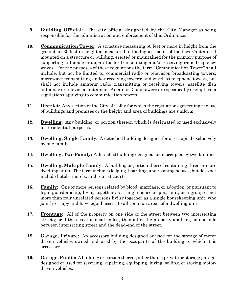- **9. Building Official:** The city official designated by the City Manager as being responsible for the administration and enforcement of this Ordinance.
- **10. Communication Tower:** A structure measuring 60 feet or more in height from the ground, or 30 feet in height as measured to the highest point of the tower/antenna if mounted on a structure or building, erected or maintained for the primary purpose of supporting antennae or apparatus for transmitting and/or receiving radio frequency waves. For the purposes of these regulations the term "Communication Tower" shall include, but not be limited to, commercial radio or television broadcasting towers; microwave transmitting and/or receiving towers; and wireless telephone towers, but shall not include amateur radio transmitting or receiving towers, satellite dish antennae or television antennae. Amateur Radio towers are specifically exempt from regulations applying to communication towers.
- **11. District:** Any section of the City of Colby for which the regulations governing the use of buildings and premises or the height and area of buildings are uniform.
- **12. Dwelling:** Any building, or portion thereof, which is designated or used exclusively for residential purposes.
- **13. Dwelling, Single Family:** A detached building designed for or occupied exclusively by one family.
- **14. Dwelling, Two Family:** A detached building designed for or occupied by two families.
- **15. Dwelling, Multiple Family:** A building or portion thereof containing three or more dwelling units. The term includes lodging, boarding, and rooming houses, but does not include hotels, motels, and tourist courts.
- **16. Family:** One or more persons related by blood, marriage, or adoption, or pursuant to legal guardianship, living together as a single housekeeping unit, or a group of not more than four unrelated persons living together as a single housekeeping unit, who jointly occupy and have equal access to all common areas of a dwelling unit.
- **17. Frontage:** All of the property on one side of the street between two intersecting streets; or if the street is dead-ended, then all of the property abutting on one side between intersecting street and the dead-end of the street.
- **18. Garage, Private:** An accessory building designed or used for the storage of motor driven vehicles owned and used by the occupants of the building to which it is accessory.
- **19. Garage, Public:** A building or portion thereof, other than a private or storage garage, designed or used for servicing, repairing, equipping, hiring, selling, or storing motordriven vehicles.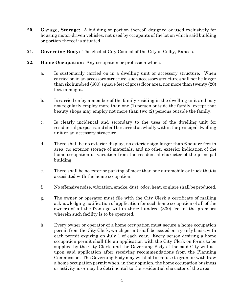- **20. Garage, Storage:** A building or portion thereof, designed or used exclusively for housing motor-driven vehicles, not used by occupants of the lot on which said building or portion thereof is situated.
- **21. Governing Body:** The elected City Council of the City of Colby, Kansas.
- **22. Home Occupation:** Any occupation or profession which:
	- a. Is customarily carried on in a dwelling unit or accessory structure. When carried on in an accessory structure, such accessory structure shall not be larger than six hundred (600) square feet of gross floor area, nor more than twenty (20) feet in height.
	- b. Is carried on by a member of the family residing in the dwelling unit and may not regularly employ more than one (1) person outside the family, except that beauty shops may employ not more than two (2) persons outside the family.
	- c. Is clearly incidental and secondary to the uses of the dwelling unit for residential purposes and shall be carried on wholly within the principal dwelling unit or an accessory structure.
	- d. There shall be no exterior display, no exterior sign larger than 6 square feet in area, no exterior storage of materials, and no other exterior indication of the home occupation or variation from the residential character of the principal building.
	- e. There shall be no exterior parking of more than one automobile or truck that is associated with the home occupation.
	- f. No offensive noise, vibration, smoke, dust, odor, heat, or glare shall be produced.
	- g. The owner or operator must file with the City Clerk a certificate of mailing acknowledging notification of application for such home occupation of all of the owners of all the frontage within three hundred (300) feet of the premises wherein such facility is to be operated.
	- h. Every owner or operator of a home occupation must secure a home occupation permit from the City Clerk, which permit shall be issued on a yearly basis, with each permit expiring on July 1 of each year. Every person desiring a home occupation permit shall file an application with the City Clerk on forms to be supplied by the City Clerk, and the Governing Body of the said City will act upon said application after receiving recommendations from the Planning Commission. The Governing Body may withhold or refuse to grant or withdraw a home occupation permit when, in their opinion, the home occupation business or activity is or may be detrimental to the residential character of the area.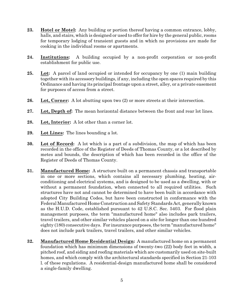- **23. Hotel or Motel:** Any building or portion thereof having a common entrance, lobby, halls, and stairs, which is designed or used to offer for hire by the general public, rooms for temporary lodging of transient guests and in which no provisions are made for cooking in the individual rooms or apartments.
- **24. Institutions:** A building occupied by a non-profit corporation or non-profit establishment for public use.
- **25. Lot:** A parcel of land occupied or intended for occupancy by one (1) main building together with its accessory buildings, if any, including the open spaces required by this Ordinance and having its principal frontage upon a street, alley, or a private easement for purposes of access from a street.
- **26. Lot, Corner:** A lot abutting upon two (2) or more streets at their intersection.
- **27. Lot, Depth of:** The mean horizontal distance between the front and rear lot lines.
- **28. Lot, Interior:** A lot other than a corner lot.
- **29. Lot Lines:** The lines bounding a lot.
- **30. Lot of Record:** A lot which is a part of a subdivision, the map of which has been recorded in the office of the Register of Deeds of Thomas County, or a lot described by metes and bounds, the description of which has been recorded in the office of the Register of Deeds of Thomas County.
- **31. Manufactured Home:** A structure built on a permanent chassis and transportable in one or more sections, which contains all necessary plumbing, heating, airconditioning and electrical systems, and is designed to be used as a dwelling, with or without a permanent foundation, when connected to all required utilities. Such structures have not and cannot be determined to have been built in accordance with adopted City Building Codes, but have been constructed in conformance with the Federal Manufactured Home Construction and Safety Standards Act, generally known as the H.U.D. Code, established pursuant to 42 U.S.C. Sec. 5403. For flood plain management purposes, the term "manufactured home" also includes park trailers, travel trailers, and other similar vehicles placed on a site for longer than one hundred eighty (180) consecutive days. For insurance purposes, the term "manufactured home" does not include park trailers, travel trailers, and other similar vehicles.
- **32. Manufactured Home Residential Design:** A manufactured home on a permanent foundation which has minimum dimensions of twenty-two (22) body feet in width, a pitched roof, and siding and roofing materials which are customarily used on site-built homes, and which comply with the architectural standards specified in Section 21-103 l. of these regulations. A residential-design manufactured home shall be considered a single-family dwelling.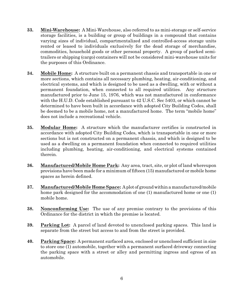- **33. Mini-Warehouse:** A Mini-Warehouse, also referred to as mini-storage or self-service storage facilities, is a building or group of buildings in a compound that contains varying sizes of individual, compartmentalized and controlled-access storage units rented or leased to individuals exclusively for the dead storage of merchandise, commodities, household goods or other personal property. A group of parked semitrailers or shipping (cargo) containers will not be considered mini-warehouse units for the purposes of this Ordinance.
- **34. Mobile Home:** A structure built on a permanent chassis and transportable in one or more sections, which contains all necessary plumbing, heating, air-conditioning, and electrical systems, and which is designed to be used as a dwelling, with or without a permanent foundation, when connected to all required utilities. Any structure manufactured prior to June 15, 1976, which was not manufactured in conformance with the H.U.D. Code established pursuant to 42 U.S.C. Sec 5403, or which cannot be determined to have been built in accordance with adopted City Building Codes, shall be deemed to be a mobile home, not a manufactured home. The term "mobile home" does not include a recreational vehicle.
- **35. Modular Home:** A structure which the manufacturer certifies is constructed in accordance with adopted City Building Codes, which is transportable in one or more sections but is not constructed on a permanent chassis, and which is designed to be used as a dwelling on a permanent foundation when connected to required utilities including plumbing, heating, air-conditioning, and electrical systems contained therein.
- **36. Manufactured/Mobile Home Park:** Any area, tract, site, or plot of land whereupon provisions have been made for a minimum of fifteen (15) manufactured or mobile home spaces as herein defined.
- **37. Manufactured/Mobile HomeSpace:** A plot of groundwithin a manufactured/mobile home park designed for the accommodation of one (1) manufactured home or one (1) mobile home.
- **38. Nonconforming Use:** The use of any premise contrary to the provisions of this Ordinance for the district in which the premise is located.
- **39. Parking Lot:** A parcel of land devoted to unenclosed parking spaces. This land is separate from the street but access to and from the street is provided.
- **40. Parking Space:** A permanent surfaced area, enclosed or unenclosed sufficient in size to store one (1) automobile, together with a permanent surfaced driveway connecting the parking space with a street or alley and permitting ingress and egress of an automobile.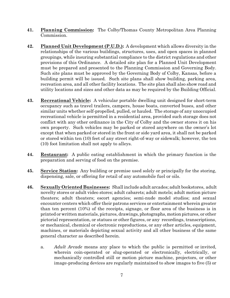- **41. Planning Commission:** The Colby/Thomas County Metropolitan Area Planning Commission.
- **42. Planned Unit Development (P.U.D.):** A development which allows diversity in the relationships of the various buildings, structures, uses, and open spaces in planned groupings, while insuring substantial compliance to the district regulations and other provisions of this Ordinance. A detailed site plan for a Planned Unit Development must be prepared and presented to the Planning Commission and Governing Body. Such site plans must be approved by the Governing Body of Colby, Kansas, before a building permit will be issued. Such site plans shall show building, parking area, recreation area, and all other facility locations. The site plan shall also show road and utility locations and sizes and other data as may be required by the Building Official.
- **43. Recreational Vehicle:** A vehicular portable dwelling unit designed for short-term occupancy such as travel trailers, campers, house boats, converted buses, and other similar units whether self-propelled, pulled, or hauled. The storage of any unoccupied recreational vehicle is permitted in a residential area, provided such storage does not conflict with any other ordinance in the City of Colby and the owner stores it on his own property. Such vehicles may be parked or stored anywhere on the owner's lot except that when parked or stored in the front or side yard area, it shall not be parked or stored within ten (10) feet of any street right-of-way or sidewalk; however, the ten (10) foot limitation shall not apply to alleys.
- **44. Restaurant:** A public eating establishment in which the primary function is the preparation and serving of food on the premise.
- **45. Service Station:** Any building or premise used solely or principally for the storing, dispensing, sale, or offering for retail of any automobile fuel or oils.
- **46. Sexually Oriented Businesses:** Shall include adult arcades; adult bookstores, adult novelty stores or adult video stores; adult cabarets; adult motels; adult motion picture theaters; adult theaters; escort agencies; semi-nude model studios; and sexual encounter centers which offer their patrons services or entertainment wherein greater than ten percent (10%) of the receipts, signage, or floor area of the business is in printed or written materials, pictures, drawings, photographs, motionpictures, or other pictorial representation, or statues or other figures, or any recordings, transcriptions, or mechanical, chemical or electronic reproductions, or any other articles, equipment, machines, or materials depicting sexual activity and all other business of the same general character as described herein.
	- a. *Adult Arcade* means any place to which the public is permitted or invited, wherein coin-operated or slug-operated or electronically, electrically, or mechanically controlled still or motion picture machine, projectors, or other image-producing devices are regularly maintained to show images to five (5) or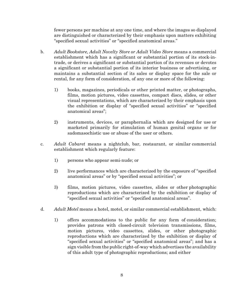fewer persons per machine at any one time, and where the images so displayed are distinguished or characterized by their emphasis upon matters exhibiting "specified sexual activities" or "specified anatomical areas."

- b. *Adult Bookstore, Adult Novelty Store or Adult Video Store* means a commercial establishment which has a significant or substantial portion of its stock-intrade, or derives a significant or substantial portion of its revenues or devotes a significant or substantial portion of its interior business or advertising, or maintains a substantial section of its sales or display space for the sale or rental, for any form of consideration, of any one or more of the following:
	- 1) books, magazines, periodicals or other printed matter, or photographs, films, motion pictures, video cassettes, compact discs, slides, or other visual representations, which are characterized by their emphasis upon the exhibition or display of "specified sexual activities" or "specified anatomical areas";
	- 2) instruments, devices, or paraphernalia which are designed for use or marketed primarily for stimulation of human genital organs or for sadomasochistic use or abuse of the user or others.
- c. *Adult Cabaret* means a nightclub, bar, restaurant, or similar commercial establishment which regularly feature:
	- 1) persons who appear semi-nude; or
	- 2) live performances which are characterized by the exposure of "specified" anatomical areas" or by "specified sexual activities"; or
	- 3) films, motion pictures, video cassettes, slides or other photographic reproductions which are characterized by the exhibition or display of "specified sexual activities" or "specified anatomical areas".
- d. *Adult Motel* means a hotel, motel, or similar commercial establishment, which:
	- 1) offers accommodations to the public for any form of consideration; provides patrons with closed-circuit television transmissions, films, motion pictures, video cassettes, slides, or other photographic reproductions which are characterized by the exhibition or display of "specified sexual activities" or "specified anatomical areas"; and has a sign visible from the public right-of-way which advertises the availability of this adult type of photographic reproductions; and either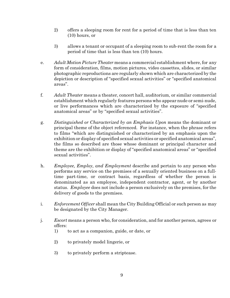- 2) offers a sleeping room for rent for a period of time that is less than ten (10) hours, or
- 3) allows a tenant or occupant of a sleeping room to sub-rent the room for a period of time that is less than ten (10) hours.
- e. *Adult Motion Picture Theater* means a commercial establishment where, for any form of consideration, films, motion pictures, video cassettes, slides, or similar photographic reproductions are regularly shown which are characterized by the depiction or description of "specified sexual activities" or "specified anatomical areas".
- f. *Adult Theater* means a theater, concert hall, auditorium, or similar commercial establishment which regularly features persons who appear nude or semi-nude, or live performances which are characterized by the exposure of "specified anatomical areas" or by "specified sexual activities".
- g. *Distinguished or Characterized by an Emphasis Upon* means the dominant or principal theme of the object referenced. For instance, when the phrase refers to films "which are distinguished or characterized by an emphasis upon the exhibition or display of specified sexual activities or specified anatomical areas", the films so described are those whose dominant or principal character and theme are the exhibition or display of "specified anatomical areas" or "specified sexual activities".
- h. *Employee, Employ, and Employment* describe and pertain to any person who performs any service on the premises of a sexually oriented business on a fulltime part-time, or contract basis, regardless of whether the person is denominated as an employee, independent contractor, agent, or by another status. *Employee* does not include a person exclusively on the premises, for the delivery of goods to the premises.
- i. *Enforcement Officer* shall mean the City Building Official or such person as may be designated by the City Manager.
- j. *Escort* means a person who, for consideration, and for another person, agrees or offers:
	- 1) to act as a companion, guide, or date, or
	- 2) to privately model lingerie, or
	- 3) to privately perform a striptease.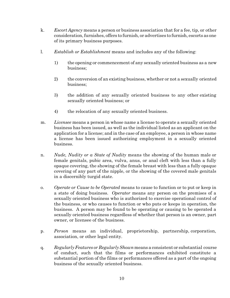- k. *Escort Agency* means a person or business association that for a fee, tip, or other consideration, furnishes, offers to furnish, or advertises to furnish, escorts as one of its primary business purposes.
- l. *Establish or Establishment* means and includes any of the following:
	- 1) the opening or commencement of any sexually oriented business as a new business;
	- 2) the conversion of an existing business, whether or not a sexually oriented business;
	- 3) the addition of any sexually oriented business to any other existing sexually oriented business; or
	- 4) the relocation of any sexually oriented business.
- m. *Licensee* means a person in whose name a license to operate a sexually oriented business has been issued, as well as the individual listed as an applicant on the application for a license; and in the case of an employee, a person in whose name a license has been issued authorizing employment in a sexually oriented business.
- n. *Nude, Nudity or a State of Nudity* means the showing of the human male or female genitals, pubic area, vulva, anus, or anal cleft with less than a fully opaque covering, the showing of the female breast with less than a fully opaque covering of any part of the nipple, or the showing of the covered male genitals in a discernibly turgid state.
- o. *Operate or Cause to be Operated* means to cause to function or to put or keep in a state of doing business. *Operator* means any person on the premises of a sexually oriented business who is authorized to exercise operational control of the business, or who causes to function or who puts or keeps in operation, the business. A person may be found to be operating or causing to be operated a sexually oriented business regardless of whether that person is an owner, part owner, or licensee of the business.
- p. *Person* means an individual, proprietorship, partnership, corporation, association, or other legal entity.
- q. *Regularly Features or RegularlyShown*means a consistent or substantial course of conduct, such that the films or performances exhibited constitute a substantial portion of the films or performances offered as a part of the ongoing business of the sexually oriented business.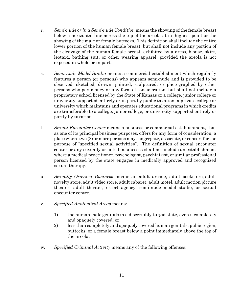- r. *Semi-nude or in a Semi-nude Condition* means the showing of the female breast below a horizontal line across the top of the areola at its highest point or the showing of the male or female buttocks. This definition shall include the entire lower portion of the human female breast, but shall not include any portion of the cleavage of the human female breast, exhibited by a dress, blouse, skirt, leotard, bathing suit, or other wearing apparel, provided the areola is not exposed in whole or in part.
- s. *Semi-nude Model Studio* means a commercial establishment which regularly features a person (or persons) who appears semi-nude and is provided to be observed, sketched, drawn, painted, sculptured, or photographed by other persons who pay money or any form of consideration, but shall not include a proprietary school licensed by the State of Kansas or a college, junior college or university supported entirely or in part by public taxation; a private college or university which maintains and operates educational programs in which credits are transferable to a college, junior college, or university supported entirely or partly by taxation.
- t. *Sexual Encounter Center* means a business or commercial establishment, that as one of its principal business purposes, offers for any form of consideration, a place where two (2) or more persons may congregate, associate, or consort for the purpose of "specified sexual activities". The definition of sexual encounter center or any sexually oriented businesses shall not include an establishment where a medical practitioner, psychologist, psychiatrist, or similar professional person licensed by the state engages in medically approved and recognized sexual therapy.
- u. *Sexually Oriented Business* means an adult arcade, adult bookstore, adult novelty store, adult video store, adult cabaret, adult motel, adult motion picture theater, adult theater, escort agency, semi-nude model studio, or sexual encounter center.
- v. *Specified Anatomical Areas* means:
	- 1) the human male genitals in a discernibly turgid state, even if completely and opaquely covered; or
	- 2) less than completely and opaquely covered human genitals, pubic region, buttocks, or a female breast below a point immediately above the top of the areola.
- w. *Specified Criminal Activity* means any of the following offenses: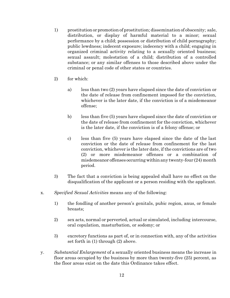- 1) prostitution or promotion of prostitution; dissemination of obscenity; sale, distribution, or display of harmful material to a minor; sexual performance by a child; possession or distribution of child pornography; public lewdness; indecent exposure; indecency with a child; engaging in organized criminal activity relating to a sexually oriented business; sexual assault; molestation of a child; distribution of a controlled substance; or any similar offenses to those described above under the criminal or penal code of other states or countries.
- 2) for which:
	- a) less than two (2) years have elapsed since the date of conviction or the date of release from confinement imposed for the conviction, whichever is the later date, if the conviction is of a misdemeanor offense;
	- b) less than five (5) years have elapsed since the date of conviction or the date of release from confinement for the conviction, whichever is the later date, if the conviction is of a felony offense; or
	- c) less than five (5) years have elapsed since the date of the last conviction or the date of release from confinement for the last conviction, whichever is the later date, if the convictions are of two (2) or more misdemeanor offenses or a combination of misdemeanor offenses occurring withinany twenty-four (24) month period.
- 3) The fact that a conviction is being appealed shall have no effect on the disqualification of the applicant or a person residing with the applicant.
- x. *Specified Sexual Activities* means any of the following:
	- 1) the fondling of another person's genitals, pubic region, anus, or female breasts;
	- 2) sex acts, normal or perverted, actual or simulated, including intercourse, oral copulation, masturbation, or sodomy; or
	- 3) excretory functions as part of, or in connection with, any of the activities set forth in (1) through (2) above.
- y. *Substantial Enlargement* of a sexually oriented business means the increase in floor areas occupied by the business by more than twenty-five (25) percent, as the floor areas exist on the date this Ordinance takes effect.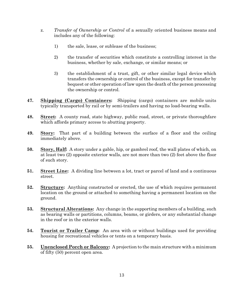- z. *Transfer of Ownership or Control* of a sexually oriented business means and includes any of the following:
	- 1) the sale, lease, or sublease of the business;
	- 2) the transfer of securities which constitute a controlling interest in the business, whether by sale, exchange, or similar means; or
	- 3) the establishment of a trust, gift, or other similar legal device which transfers the ownership or control of the business, except for transfer by bequest or other operation of law upon the death of the person processing the ownership or control.
- **47. Shipping (Cargo) Containers:** Shipping (cargo) containers are mobile units typically transported by rail or by semi-trailers and having no load-bearing walls.
- **48. Street:** A county road, state highway, public road, street, or private thoroughfare which affords primary access to abutting property.
- **49. Story:** That part of a building between the surface of a floor and the ceiling immediately above.
- **50. Story, Half:** A story under a gable, hip, or gambrel roof, the wall plates of which, on at least two (2) opposite exterior walls, are not more than two (2) feet above the floor of such story.
- **51. Street Line:** A dividing line between a lot, tract or parcel of land and a continuous street.
- **52. Structure:** Anything constructed or erected, the use of which requires permanent location on the ground or attached to something having a permanent location on the ground.
- **53. Structural Alterations:** Any change in the supporting members of a building, such as bearing walls or partitions, columns, beams, or girders, or any substantial change in the roof or in the exterior walls.
- **54. Tourist or Trailer Camp:** An area with or without buildings used for providing housing for recreational vehicles or tents on a temporary basis.
- **55. Unenclosed Porch or Balcony:** A projection to the main structure with a minimum of fifty (50) percent open area.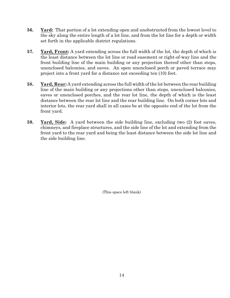- **56. Yard:** That portion of a lot extending open and unobstructed from the lowest level to the sky along the entire length of a lot line, and from the lot line for a depth or width set forth in the applicable district regulations.
- **57. Yard, Front:** A yard extending across the full width of the lot, the depth of which is the least distance between the lot line or road easement or right-of-way line and the front building line of the main building or any projection thereof other than steps, unenclosed balconies, and eaves. An open unenclosed porch or paved terrace may project into a front yard for a distance not exceeding ten (10) feet.
- **58. Yard, Rear:** A yard extending across the full width of the lot between the rear building line of the main building or any projections other than steps, unenclosed balconies, eaves or unenclosed porches, and the rear lot line, the depth of which is the least distance between the rear lot line and the rear building line. On both corner lots and interior lots, the rear yard shall in all cases be at the opposite end of the lot from the front yard.
- **59. Yard, Side:** A yard between the side building line, excluding two (2) foot eaves, chimneys, and fireplace structures, and the side line of the lot and extending from the front yard to the rear yard and being the least distance between the side lot line and the side building line.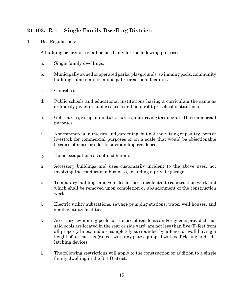## 21-103. R-1 -- Single Family Dwelling District:

1. Use Regulations:

A building or premise shall be used only for the following purposes:

- a. Single family dwellings.
- b. Municipally owned or operated parks, playgrounds, swimming pools, community buildings, and similar municipal recreational facilities.
- c. Churches.
- d. Public schools and educational institutions having a curriculum the same as ordinarily given in public schools and nonprofit preschool institutions.
- e. Golf courses, except miniature courses, and driving tees operated for commercial purposes.
- f. Noncommercial nurseries and gardening, but not the raising of poultry, pets or livestock for commercial purposes or on a scale that would be objectionable because of noise or odor to surrounding residences.
- g. Home occupations as defined herein.
- h. Accessory buildings and uses customarily incident to the above uses, not involving the conduct of a business, including a private garage.
- i. Temporary buildings and vehicles for uses incidental to construction work and which shall be removed upon completion or abandonment of the construction work.
- j. Electric utility substations, sewage pumping stations, water well houses, and similar utility facilities.
- k. Accessory swimming pools for the use of residents and/or guests provided that said pools are located in the rear or side yard, are not less than five (5) feet from all property lines, and are completely surrounded by a fence or wall having a height of at least six (6) feet with any gate equipped with self-closing and selflatching devices.
- l. The following restrictions will apply to the construction or addition to a single family dwelling in the R-1 District: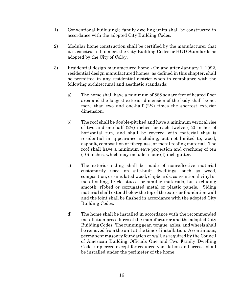- 1) Conventional built single family dwelling units shall be constructed in accordance with the adopted City Building Codes.
- 2) Modular home construction shall be certified by the manufacturer that it is constructed to meet the City Building Codes or HUD Standards as adopted by the City of Colby.
- 3) Residential design manufactured home On and after January 1, 1992, residential design manufactured homes, as defined in this chapter, shall be permitted in any residential district when in compliance with the following architectural and aesthetic standards:
	- a) The home shall have a minimum of 888 square feet of heated floor area and the longest exterior dimension of the body shall be not more than two and one-half  $(2\frac{1}{2})$  times the shortest exterior dimension.
	- b) The roof shall be double-pitched and have a minimum vertical rise of two and one-half  $(2\frac{1}{2})$  inches for each twelve  $(12)$  inches of horizontal run, and shall be covered with material that is residential in appearance including, but not limited to, wood, asphalt, composition or fiberglass, or metal roofing material. The roof shall have a minimum eave projection and overhang of ten (10) inches, which may include a four (4) inch gutter.
	- c) The exterior siding shall be made of nonreflective material customarily used on site-built dwellings, such as wood, composition, or simulated wood, clapboards, conventional vinyl or metal siding, brick, stucco, or similar materials, but excluding smooth, ribbed or corrugated metal or plastic panels. Siding material shall extend below the top of the exterior foundation wall and the joint shall be flashed in accordance with the adopted City Building Codes.
	- d) The home shall be installed in accordance with the recommended installation procedures of the manufacturer and the adopted City Building Codes. The running gear, tongue, axles, and wheels shall be removed from the unit at the time of installation. A continuous, permanent masonry foundation or wall, as required by the Council of American Building Officials One and Two Family Dwelling Code, unpierced except for required ventilation and access, shall be installed under the perimeter of the home.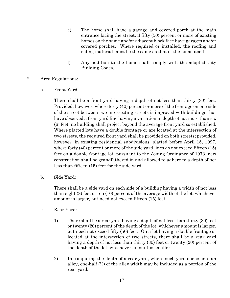- e) The home shall have a garage and covered porch at the main entrance facing the street, if fifty (50) percent or more of existing homes on the same and/or adjacent block face have garages and/or covered porches. Where required or installed, the roofing and siding material must be the same as that of the home itself.
- f) Any addition to the home shall comply with the adopted City Building Codes.
- 2. Area Regulations:
	- a. Front Yard:

There shall be a front yard having a depth of not less than thirty (30) feet. Provided, however, where forty (40) percent or more of the frontage on one side of the street between two intersecting streets is improved with buildings that have observed a front yard line having a variation in depth of not more than six (6) feet, no building shall project beyond the average front yard so established. Where platted lots have a double frontage or are located at the intersection of two streets, the required front yard shall be provided on both streets; provided, however, in existing residential subdivisions, platted before April 15, 1997, where forty (40) percent or more of the side yard lines do not exceed fifteen (15) feet on a double frontage lot, pursuant to the Zoning Ordinance of 1973, new construction shall be grandfathered in and allowed to adhere to a depth of not less than fifteen (15) feet for the side yard.

b. Side Yard:

There shall be a side yard on each side of a building having a width of not less than eight (8) feet or ten (10) percent of the average width of the lot, whichever amount is larger, but need not exceed fifteen (15) feet.

- c. Rear Yard:
	- 1) There shall be a rear yard having a depth of not less than thirty (30) feet or twenty (20) percent of the depth of the lot, whichever amount is larger, but need not exceed fifty (50) feet. On a lot having a double frontage or located at the intersection of two streets, there shall be a rear yard having a depth of not less than thirty (30) feet or twenty (20) percent of the depth of the lot, whichever amount is smaller.
	- 2) In computing the depth of a rear yard, where such yard opens onto an alley, one-half  $(\frac{1}{2})$  of the alley width may be included as a portion of the rear yard.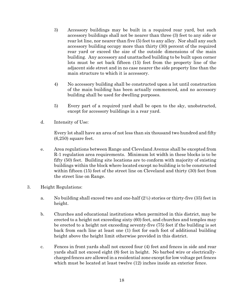- 3) Accessory buildings may be built in a required rear yard, but such accessory buildings shall not be nearer than three (3) feet to any side or rear lot line, nor nearer than five (5) feet to any alley. Nor shall any such accessory building occupy more than thirty (30) percent of the required rear yard or exceed the size of the outside dimensions of the main building. Any accessory and unattached building to be built upon corner lots must be set back fifteen (15) feet from the property line of the adjacent side street and in no case nearer the side property line than the main structure to which it is accessory.
- 4) No accessory building shall be constructed upon a lot until construction of the main building has been actually commenced, and no accessory building shall be used for dwelling purposes.
- 5) Every part of a required yard shall be open to the sky, unobstructed, except for accessory buildings in a rear yard.
- d. Intensity of Use:

Every lot shall have an area of not less than six thousand two hundred and fifty (6,250) square feet.

- e. Area regulations between Range and Cleveland Avenue shall be excepted from R-1 regulation area requirements. Minimum lot width in these blocks is to be fifty (50) feet. Building site locations are to conform with majority of existing buildings within the block where located except no building is to be constructed within fifteen (15) feet of the street line on Cleveland and thirty (30) feet from the street line on Range.
- 3. Height Regulations:
	- a. No building shall exceed two and one-half  $(2<sup>1</sup>/<sub>2</sub>)$  stories or thirty-five  $(35)$  feet in height.
	- b. Churches and educational institutions when permitted in this district, may be erected to a height not exceeding sixty (60) feet, and churches and temples may be erected to a height not exceeding seventy-five (75) feet if the building is set back from each line at least one (1) foot for each foot of additional building height above the height limit otherwise provided in this district.
	- c. Fences in front yards shall not exceed four (4) feet and fences in side and rear yards shall not exceed eight (8) feet in height. No barbed wire or electricallycharged fences are allowed in a residential zone except for low voltage pet fences which must be located at least twelve (12) inches inside an exterior fence.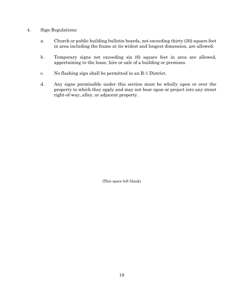- 4. Sign Regulations:
	- a. Church or public building bulletin boards, not exceeding thirty (30) square feet in area including the frame at its widest and longest dimension, are allowed.
	- b. Temporary signs not exceeding six (6) square feet in area are allowed, appertaining to the lease, hire or sale of a building or premises.
	- c. No flashing sign shall be permitted in an R-1 District.
	- d. Any signs permissible under this section must be wholly upon or over the property to which they apply and may not bear upon or project into any street right-of-way, alley, or adjacent property.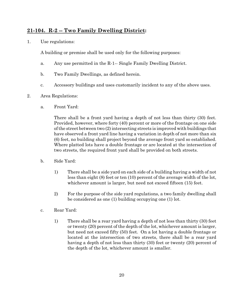#### **21-104. R-2 -- Two Family Dwelling District:**

1. Use regulations:

A building or premise shall be used only for the following purposes:

- a. Any use permitted in the R-1-- Single Family Dwelling District.
- b. Two Family Dwellings, as defined herein.
- c. Accessory buildings and uses customarily incident to any of the above uses.
- 2. Area Regulations:
	- a. Front Yard:

There shall be a front yard having a depth of not less than thirty (30) feet. Provided, however, where forty (40) percent or more of the frontage on one side of the street between two (2) intersecting streets is improved with buildings that have observed a front yard line having a variation in depth of not more than six (6) feet, no building shall project beyond the average front yard so established. Where platted lots have a double frontage or are located at the intersection of two streets, the required front yard shall be provided on both streets.

- b. Side Yard:
	- 1) There shall be a side yard on each side of a building having a width of not less than eight (8) feet or ten (10) percent of the average width of the lot, whichever amount is larger, but need not exceed fifteen (15) feet.
	- 2) For the purpose of the side yard regulations, a two family dwelling shall be considered as one (1) building occupying one (1) lot.
- c. Rear Yard:
	- 1) There shall be a rear yard having a depth of not less than thirty (30) feet or twenty (20) percent of the depth of the lot, whichever amount is larger, but need not exceed fifty (50) feet. On a lot having a double frontage or located at the intersection of two streets, there shall be a rear yard having a depth of not less than thirty (30) feet or twenty (20) percent of the depth of the lot, whichever amount is smaller.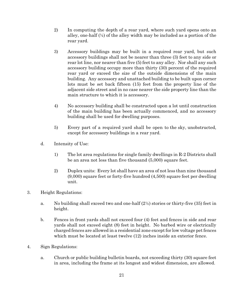- 2) In computing the depth of a rear yard, where such yard opens onto an alley, one-half  $\frac{1}{2}$  of the alley width may be included as a portion of the rear yard.
- 3) Accessory buildings may be built in a required rear yard, but such accessory buildings shall not be nearer than three (3) feet to any side or rear lot line, nor nearer than five (5) feet to any alley. Nor shall any such accessory building occupy more than thirty (30) percent of the required rear yard or exceed the size of the outside dimensions of the main building. Any accessory and unattached building to be built upon corner lots must be set back fifteen (15) feet from the property line of the adjacent side street and in no case nearer the side property line than the main structure to which it is accessory.
- 4) No accessory building shall be constructed upon a lot until construction of the main building has been actually commenced, and no accessory building shall be used for dwelling purposes.
- 5) Every part of a required yard shall be open to the sky, unobstructed, except for accessory buildings in a rear yard.
- d. Intensity of Use:
	- 1) The lot area regulations for single family dwellings in R-2 Districts shall be an area not less than five thousand (5,000) square feet.
	- 2) Duplex units: Every lot shall have an area of not less than nine thousand (9,000) square feet or forty-five hundred (4,500) square feet per dwelling unit.
- 3. Height Regulations:
	- a. No building shall exceed two and one-half (2½) stories or thirty-five (35) feet in height.
	- b. Fences in front yards shall not exceed four (4) feet and fences in side and rear yards shall not exceed eight (8) feet in height. No barbed wire or electrically charged fences are allowed in a residential zone except for low voltage pet fences which must be located at least twelve (12) inches inside an exterior fence.
- 4. Sign Regulations:
	- a. Church or public building bulletin boards, not exceeding thirty (30) square feet in area, including the frame at its longest and widest dimension, are allowed.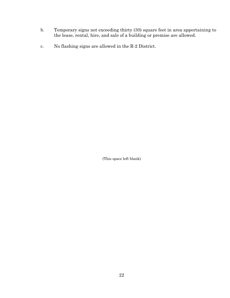- b. Temporary signs not exceeding thirty (30) square feet in area appertaining to the lease, rental, hire, and sale of a building or premise are allowed.
- c. No flashing signs are allowed in the R-2 District.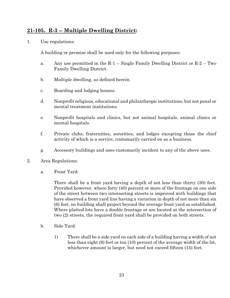#### **21-105. R-3 -- Multiple Dwelling District:**

1. Use regulations:

A building or premise shall be used only for the following purposes:

- a. Any use permitted in the R-1 -- Single Family Dwelling District or R-2 -- Two Family Dwelling District.
- b. Multiple dwelling, as defined herein.
- c. Boarding and lodging houses.
- d. Nonprofit religious, educational and philanthropic institutions, but not penal or mental treatment institutions.
- e. Nonprofit hospitals and clinics, but not animal hospitals, animal clinics or mental hospitals.
- f. Private clubs, fraternities, sororities, and lodges excepting those the chief activity of which is a service, customarily carried on as a business.
- g. Accessory buildings and uses customarily incident to any of the above uses.
- 2. Area Regulations:
	- a. Front Yard:

There shall be a front yard having a depth of not less than thirty (30) feet. Provided however, where forty (40) percent or more of the frontage on one side of the street between two intersecting streets is improved with buildings that have observed a front yard line having a variation in depth of not more than six (6) feet, no building shall project beyond the average front yard so established. Where platted lots have a double frontage or are located at the intersection of two (2) streets, the required front yard shall be provided on both streets.

- b. Side Yard:
	- 1) There shall be a side yard on each side of a building having a width of not less than eight (8) feet or ten (10) percent of the average width of the lot, whichever amount is larger, but need not exceed fifteen (15) feet.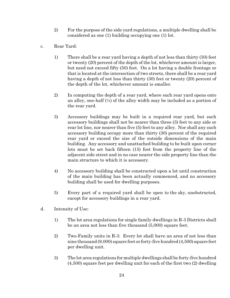- 2) For the purpose of the side yard regulations, a multiple dwelling shall be considered as one (1) building occupying one (1) lot.
- c. Rear Yard:
	- 1) There shall be a rear yard having a depth of not less than thirty (30) feet or twenty (20) percent of the depth of the lot, whichever amount is larger, but need not exceed fifty (50) feet. On a lot having a double frontage or that is located at the intersection of two streets, there shall be a rear yard having a depth of not less than thirty (30) feet or twenty (20) percent of the depth of the lot, whichever amount is smaller.
	- 2) In computing the depth of a rear yard, where such rear yard opens onto an alley, one-half  $\left(\frac{1}{2}\right)$  of the alley width may be included as a portion of the rear yard.
	- 3) Accessory buildings may be built in a required rear yard, but such accessory buildings shall not be nearer than three (3) feet to any side or rear lot line, nor nearer than five (5) feet to any alley. Nor shall any such accessory building occupy more than thirty (30) percent of the required rear yard or exceed the size of the outside dimensions of the main building. Any accessory and unattached building to be built upon corner lots must be set back fifteen (15) feet from the property line of the adjacent side street and in no case nearer the side property line than the main structure to which it is accessory.
	- 4) No accessory building shall be constructed upon a lot until construction of the main building has been actually commenced, and no accessory building shall be used for dwelling purposes.
	- 5) Every part of a required yard shall be open to the sky, unobstructed, except for accessory buildings in a rear yard.
- d. Intensity of Use:
	- 1) The lot area regulations for single family dwellings in R-3 Districts shall be an area not less than five thousand (5,000) square feet.
	- 2) Two-Family units in R-3: Every lot shall have an area of not less than nine thousand (9,000) square feet or forty-five hundred (4,500) square feet per dwelling unit.
	- 3) The lot area regulations for multiple dwellings shall be forty-five hundred (4,500) square feet per dwelling unit for each of the first two (2) dwelling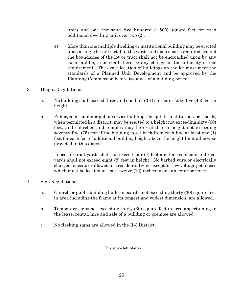units and one thousand five hundred (1,500) square feet for each additional dwelling unit over two (2).

- 4) More than one multiple dwelling or institutional building may be erected upon a single lot or tract, but the yards and open spaces required around the boundaries of the lot or tract shall not be encroached upon by any such building, nor shall there be any change in the intensity of use requirement. The exact location of buildings on the lot must meet the standards of a Planned Unit Development and be approved by the Planning Commission before issuance of a building permit.
- 3. Height Regulations:
	- a. No building shall exceed three and one-half  $(3/2)$  stories or forty-five (45) feet in height.
	- b. Public, semi-public or public service buildings, hospitals, institutions, or schools, when permitted in a district, may be erected to a height not exceeding sixty  $(60)$ feet, and churches and temples may be erected to a height not exceeding seventy-five (75) feet if the building is set back from each line at least one (1) foot for each foot of additional building height above the height limit otherwise provided in this district.
	- c. Fences in front yards shall not exceed four (4) feet and fences in side and rear yards shall not exceed eight (8) feet in height. No barbed wire or electrically charged fences are allowed in a residential zone except for low voltage pet fences which must be located at least twelve (12) inches inside an exterior fence.
- 4. Sign Regulations:
	- a. Church or public building bulletin boards, not exceeding thirty (30) square feet in area including the frame at its longest and widest dimension, are allowed.
	- b. Temporary signs not exceeding thirty (30) square feet in area appertaining to the lease, rental, hire and sale of a building or premise are allowed.
	- c. No flashing signs are allowed in the R-3 District.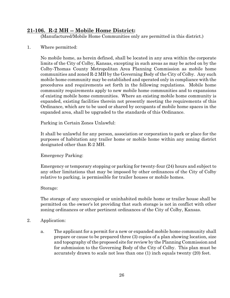#### **21-106. R-2 MH -- Mobile Home District:**

(Manufactured/Mobile Home Communities only are permitted in this district.)

#### 1. Where permitted:

No mobile home, as herein defined, shall be located in any area within the corporate limits of the City of Colby, Kansas, excepting in such areas as may be acted on by the Colby-Thomas County Metropolitan Area Planning Commission as mobile home communities and zoned R-2 MH by the Governing Body of the City of Colby. Any such mobile home community may be established and operated only in compliance with the procedures and requirements set forth in the following regulations. Mobile home community requirements apply to new mobile home communities and to expansions of existing mobile home communities. Where an existing mobile home community is expanded, existing facilities therein not presently meeting the requirements of this Ordinance, which are to be used or shared by occupants of mobile home spaces in the expanded area, shall be upgraded to the standards of this Ordinance.

Parking in Certain Zones Unlawful:

It shall be unlawful for any person, association or corporation to park or place for the purposes of habitation any trailer home or mobile home within any zoning district designated other than R-2 MH.

Emergency Parking:

Emergency or temporary stopping or parking for twenty-four (24) hours and subject to any other limitations that may be imposed by other ordinances of the City of Colby relative to parking, is permissible for trailer houses or mobile homes.

#### Storage:

The storage of any unoccupied or uninhabited mobile home or trailer house shall be permitted on the owner's lot providing that such storage is not in conflict with other zoning ordinances or other pertinent ordinances of the City of Colby, Kansas.

- 2. Application:
	- a. The applicant for a permit for a new or expanded mobile home community shall prepare or cause to be prepared three (3) copies of a plan showing location, size and topography of the proposed site for review by the Planning Commission and for submission to the Governing Body of the City of Colby. This plan must be accurately drawn to scale not less than one (1) inch equals twenty (20) feet.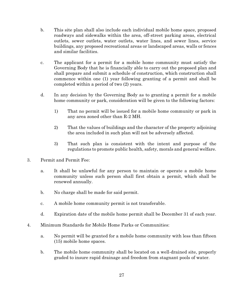- b. This site plan shall also include each individual mobile home space, proposed roadways and sidewalks within the area, off-street parking areas, electrical outlets, sewer outlets, water outlets, water lines, and sewer lines, service buildings, any proposed recreational areas or landscaped areas, walls or fences and similar facilities.
- c. The applicant for a permit for a mobile home community must satisfy the Governing Body that he is financially able to carry out the proposed plan and shall prepare and submit a schedule of construction, which construction shall commence within one (1) year following granting of a permit and shall be completed within a period of two (2) years.
- d. In any decision by the Governing Body as to granting a permit for a mobile home community or park, consideration will be given to the following factors:
	- 1) That no permit will be issued for a mobile home community or park in any area zoned other than R-2 MH.
	- 2) That the values of buildings and the character of the property adjoining the area included in such plan will not be adversely affected.
	- 3) That such plan is consistent with the intent and purpose of the regulations to promote public health, safety, morals and general welfare.
- 3. Permit and Permit Fee:
	- a. It shall be unlawful for any person to maintain or operate a mobile home community unless such person shall first obtain a permit, which shall be renewed annually.
	- b. No charge shall be made for said permit.
	- c. A mobile home community permit is not transferable.
	- d. Expiration date of the mobile home permit shall be December 31 of each year.
- 4. Minimum Standards for Mobile Home Parks or Communities:
	- a. No permit will be granted for a mobile home community with less than fifteen (15) mobile home spaces.
	- b. The mobile home community shall be located on a well-drained site, properly graded to insure rapid drainage and freedom from stagnant pools of water.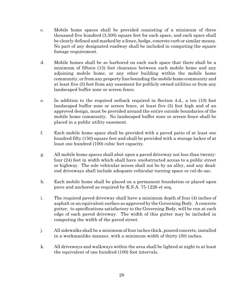- c. Mobile home spaces shall be provided consisting of a minimum of three thousand five hundred (3,500) square feet for each space, and each space shall be clearly defined and marked by a fence, hedge, concrete curb or similar means. No part of any designated roadway shall be included in computing the square footage requirement.
- d. Mobile homes shall be so harbored on each such space that there shall be a minimum of fifteen (15) feet clearance between each mobile home and any adjoining mobile home, or any other building within the mobile home community, or from any property line bounding the mobilehome community and at least five (5) feet from any easement for publicly owned utilities or from any landscaped buffer zone or screen fence.
- e. In addition to the required setback required in Section 4.d., a ten (10) foot landscaped buffer zone or screen fence, at least five (5) feet high and of an approved design, must be provided around the entire outside boundaries of the mobile home community. No landscaped buffer zone or screen fence shall be placed in a public utility easement.
- f. Each mobile home space shall be provided with a paved patio of at least one hundred fifty (150) square feet and shall be provided with a storage locker of at least one hundred (100) cubic feet capacity.
- g. All mobile home spaces shall abut upon a paved driveway not less than twentyfour (24) feet in width which shall have unobstructed access to a public street or highway. The sole vehicular access shall not be by an alley, and any deadend driveways shall include adequate vehicular turning space or cul-de-sac.
- h. Each mobile home shall be placed on a permanent foundation or placed upon piers and anchored as required by K.S.A. 75-1226 et seq.
- i. The required paved driveway shall have a minimum depth of four (4) inches of asphalt or an equivalent surface as approved by the Governing Body. A concrete gutter, to specifications satisfactory to the Governing Body, will be run at each edge of each paved driveway. The width of this gutter may be included in computing the width of the paved street.
- j. All sidewalks shall be a minimum of four inches thick, poured concrete, installed in a workmanlike manner, with a minimum width of thirty (30) inches.
- k. All driveways and walkways within the area shall be lighted at night to at least the equivalent of one hundred (100) foot intervals.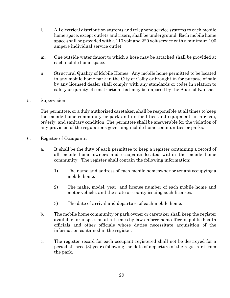- l. All electrical distribution systems and telephone service systems to each mobile home space, except outlets and risers, shall be underground. Each mobile home space shall be provided with a 110 volt and 220 volt service with a minimum 100 ampere individual service outlet.
- m. One outside water faucet to which a hose may be attached shall be provided at each mobile home space.
- n. Structural Quality of Mobile Homes: Any mobile home permitted to be located in any mobile home park in the City of Colby or brought in for purpose of sale by any licensed dealer shall comply with any standards or codes in relation to safety or quality of construction that may be imposed by the State of Kansas.
- 5. Supervision:

The permittee, or a duly authorized caretaker, shall be responsible at all times to keep the mobile home community or park and its facilities and equipment, in a clean, orderly, and sanitary condition. The permittee shall be answerable for the violation of any provision of the regulations governing mobile home communities or parks.

- 6. Register of Occupants:
	- a. It shall be the duty of each permittee to keep a register containing a record of all mobile home owners and occupants located within the mobile home community. The register shall contain the following information:
		- 1) The name and address of each mobile homeowner or tenant occupying a mobile home.
		- 2) The make, model, year, and license number of each mobile home and motor vehicle, and the state or county issuing such licenses.
		- 3) The date of arrival and departure of each mobile home.
	- b. The mobile home community or park owner or caretaker shall keep the register available for inspection at all times by law enforcement officers, public health officials and other officials whose duties necessitate acquisition of the information contained in the register.
	- c. The register record for each occupant registered shall not be destroyed for a period of three (3) years following the date of departure of the registrant from the park.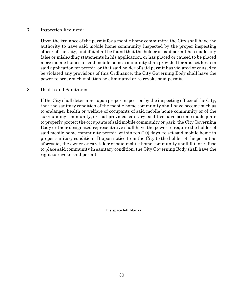#### 7. Inspection Required:

Upon the issuance of the permit for a mobile home community, the City shall have the authority to have said mobile home community inspected by the proper inspecting officer of the City, and if it shall be found that the holder of said permit has made any false or misleading statements in his application, or has placed or caused to be placed more mobile homes in said mobile home community than provided for and set forth in said application for permit, or that said holder of said permit has violated or caused to be violated any provisions of this Ordinance, the City Governing Body shall have the power to order such violation be eliminated or to revoke said permit.

#### 8. Health and Sanitation:

If the City shall determine, upon proper inspection by the inspecting officer of the City, that the sanitary condition of the mobile home community shall have become such as to endanger health or welfare of occupants of said mobile home community or of the surrounding community, or that provided sanitary facilities have become inadequate to properly protect the occupants of said mobile community or park, the City Governing Body or their designated representative shall have the power to require the holder of said mobile home community permit, within ten (10) days, to set said mobile home in proper sanitary condition. If upon notice from the City to the holder of the permit as aforesaid, the owner or caretaker of said mobile home community shall fail or refuse to place said community in sanitary condition, the City Governing Body shall have the right to revoke said permit.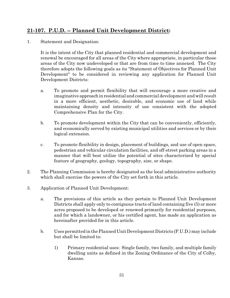## **21-107. P.U.D. -- Planned Unit Development District:**

1. Statement and Designation:

It is the intent of the City that planned residential and commercial development and renewal be encouraged for all areas of the City where appropriate, in particular those areas of the City now undeveloped or that are from time to time annexed. The City therefore adopts the following goals as its "Statement of Objectives for Planned Unit Development" to be considered in reviewing any application for Planned Unit Development Districts:

- a. To promote and permit flexibility that will encourage a more creative and imaginative approach in residential and commercial development and will result in a more efficient, aesthetic, desirable, and economic use of land while maintaining density and intensity of use consistent with the adopted Comprehensive Plan for the City.
- b. To promote development within the City that can be conveniently, efficiently, and economically served by existing municipal utilities and services or by their logical extension.
- c. To promote flexibility in design, placement of buildings, and use of open space, pedestrian and vehicular circulation facilities, and off-street parking areas in a manner that will best utilize the potential of sites characterized by special feature of geography, geology, topography, size, or shape.
- 2. The Planning Commission is hereby designated as the local administrative authority which shall exercise the powers of the City set forth in this article.
- 3. Application of Planned Unit Development:
	- a. The provisions of this article as they pertain to Planned Unit Development Districts shall apply only to contiguous tracts of land containing five (5) or more acres proposed to be developed or renewed primarily for residential purposes, and for which a landowner, or his certified agent, has made an application as hereinafter provided for in this article.
	- b. Uses permitted in the Planned Unit Development Districts (P.U.D.) may include but shall be limited to:
		- 1) Primary residential uses: Single family, two family, and multiple family dwelling units as defined in the Zoning Ordinance of the City of Colby, Kansas.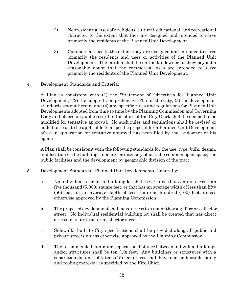- 2) Nonresidential uses of a religious, cultural, educational, and recreational character to the extent that they are designed and intended to serve primarily the residents of the Planned Unit Development.
- 3) Commercial uses to the extent they are designed and intended to serve primarily the residents and uses or activities of the Planned Unit Development. The burden shall be on the landowner to show beyond a reasonable doubt that the commercial uses are intended to serve primarily the residents of the Planned Unit Development.
- 4. Development Standards and Criteria:

A Plan is consistent with (1) the "Statement of Objectives for Planned Unit Development," (2) the adopted Comprehensive Plan of the City, (3) the development standards set out herein, and (4) any specific rules and regulations for Planned Unit Developments adopted from time to time by the Planning Commission and Governing Body and placed on public record in the office of the City Clerk shall be deemed to be qualified for tentative approval. No such rules and regulations shall be revised or added to so as to be applicable to a specific proposal for a Planned Unit Development after an application for tentative approval has been filed by the landowner or his agents.

A Plan shall be consistent with the following standards for the use, type, bulk, design, and location of the buildings, density or intensity of use, the common open space, the public facilities and the development by geographic division of the tract.

- 5. Development Standards Planned Unit Developments, Generally:
	- a. No individual residential building lot shall be created that contains less than five thousand (5,000) square feet, or that has an average width of less than fifty (50) feet or an average depth of less than one hundred (100) feet, unless otherwise approved by the Planning Commission.
	- b. The proposed development shall have access to a major thoroughfare or collector street. No individual residential building lot shall be created that has direct access to an arterial or a collector street.
	- c. Sidewalks built to City specifications shall be provided along all public and private streets unless otherwise approved by the Planning Commission.
	- d. The recommended minimum separation distance between individual buildings and/or structures shall be ten (10) feet. Any buildings or structures with a separation distance of fifteen (15) feet or less shall have noncombustible siding and roofing material as specified by the Fire Chief.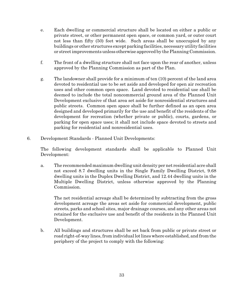- e. Each dwelling or commercial structure shall be located on either a public or private street, or other permanent open space, or common yard, or outer court not less than fifty (50) feet wide. Such areas shall be unoccupied by any buildings or other structures except parking facilities, necessary utility facilities or street improvements unless otherwise approved by the Planning Commission.
- f. The front of a dwelling structure shall not face upon the rear of another, unless approved by the Planning Commission as part of the Plan.
- g. The landowner shall provide for a minimum of ten (10) percent of the land area devoted to residential use to be set aside and developed for open air recreation uses and other common open space. Land devoted to residential use shall be deemed to include the total noncommercial ground area of the Planned Unit Development exclusive of that area set aside for nonresidential structures and public streets. Common open space shall be further defined as an open area designed and developed primarily for the use and benefit of the residents of the development for recreation (whether private or public), courts, gardens, or parking for open space uses; it shall not include space devoted to streets and parking for residential and nonresidential uses.
- 6. Development Standards Planned Unit Developments:

The following development standards shall be applicable to Planned Unit Development:

a. The recommended maximum dwelling unit density per net residential acre shall not exceed 8.7 dwelling units in the Single Family Dwelling District, 9.68 dwelling units in the Duplex Dwelling District, and 12.44 dwelling units in the Multiple Dwelling District, unless otherwise approved by the Planning Commission.

The net residential acreage shall be determined by subtracting from the gross development acreage the areas set aside for commercial development, public streets, parks and school sites, major drainage courses, and any other areas not retained for the exclusive use and benefit of the residents in the Planned Unit Development.

b. All buildings and structures shall be set back from public or private street or road right-of-way lines, from individual lot lines where established, and from the periphery of the project to comply with the following: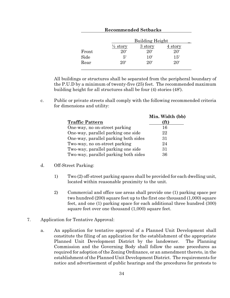| <b>Recommended Setbacks</b> |                        |              |         |
|-----------------------------|------------------------|--------------|---------|
|                             | <b>Building Height</b> |              |         |
|                             | $\frac{1}{2}$ story    | 3 story      | 4 story |
| Front                       | 20'                    | $20^{\circ}$ | 20'     |
| Side                        | $5^{\prime}$           | 10'          | 15'     |
| Rear                        | 20'                    | $20^{\circ}$ | 20'     |

All buildings or structures shall be separated from the peripheral boundary of the P.U.D by a minimum of twenty-five (25) feet. The recommended maximum building height for all structures shall be four (4) stories (48').

c. Public or private streets shall comply with the following recommended criteria for dimensions and utility:

|                                      | Min. Width (bb) |
|--------------------------------------|-----------------|
| <b>Traffic Pattern</b>               |                 |
| One-way, no on-street parking        | 16              |
| One-way, parallel parking one side   | 22              |
| One-way, parallel parking both sides | 31              |
| Two-way, no on-street parking        | 24              |
| Two-way, parallel parking one side   | 31              |
| Two-way, parallel parking both sides | 36              |

- d. Off-Street Parking:
	- 1) Two (2) off-street parking spaces shall be provided for each dwelling unit, located within reasonable proximity to the unit.
	- 2) Commercial and office use areas shall provide one (1) parking space per two hundred (200) square feet up to the first one thousand (1,000) square feet, and one (1) parking space for each additional three hundred (300) square feet over one thousand (1,000) square feet.
- 7. Application for Tentative Approval:
	- a. An application for tentative approval of a Planned Unit Development shall constitute the filing of an application for the establishment of the appropriate Planned Unit Development District by the landowner. The Planning Commission and the Governing Body shall follow the same procedures as required for adoption of the Zoning Ordinance, or an amendment thereto, in the establishment of the Planned Unit Development District. The requirements for notice and advertisement of public hearings and the procedures for protests to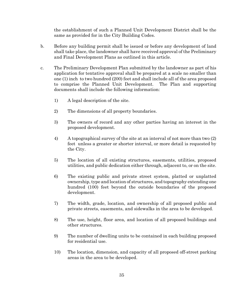the establishment of such a Planned Unit Development District shall be the same as provided for in the City Building Codes.

- b. Before any building permit shall be issued or before any development of land shall take place, the landowner shall have received approval of the Preliminary and Final Development Plans as outlined in this article.
- c. The Preliminary Development Plan submitted by the landowner as part of his application for tentative approval shall be prepared at a scale no smaller than one (1) inch to two hundred (200) feet and shall include all of the area proposed to comprise the Planned Unit Development. The Plan and supporting documents shall include the following information:
	- 1) A legal description of the site.
	- 2) The dimensions of all property boundaries.
	- 3) The owners of record and any other parties having an interest in the proposed development.
	- 4) A topographical survey of the site at an interval of not more than two (2) feet unless a greater or shorter interval, or more detail is requested by the City.
	- 5) The location of all existing structures, easements, utilities, proposed utilities, and public dedication either through, adjacent to, or on the site.
	- 6) The existing public and private street system, platted or unplatted ownership, type and location of structures, and topography extending one hundred (100) feet beyond the outside boundaries of the proposed development.
	- 7) The width, grade, location, and ownership of all proposed public and private streets, easements, and sidewalks in the area to be developed.
	- 8) The use, height, floor area, and location of all proposed buildings and other structures.
	- 9) The number of dwelling units to be contained in each building proposed for residential use.
	- 10) The location, dimension, and capacity of all proposed off-street parking areas in the area to be developed.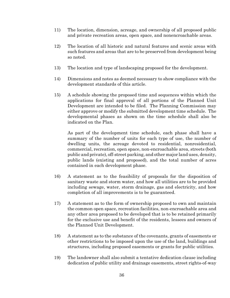- 11) The location, dimension, acreage, and ownership of all proposed public and private recreation areas, open space, and nonencroachable areas.
- 12) The location of all historic and natural features and scenic areas with such features and areas that are to be preserved from development being so noted.
- 13) The location and type of landscaping proposed for the development.
- 14) Dimensions and notes as deemed necessary to show compliance with the development standards of this article.
- 15) A schedule showing the proposed time and sequences within which the applications for final approval of all portions of the Planned Unit Development are intended to be filed. The Planning Commission may either approve or modify the submitted development time schedule. The developmental phases as shown on the time schedule shall also be indicated on the Plan.

As part of the development time schedule, each phase shall have a summary of the number of units for each type of use, the number of dwelling units, the acreage devoted to residential, nonresidential, commercial, recreation, open space, non-encroachable area, streets (both public and private), off-street parking, and other major land uses, density, public lands (existing and proposed), and the total number of acres contained in each development phase.

- 16) A statement as to the feasibility of proposals for the disposition of sanitary waste and storm water, and how all utilities are to be provided including sewage, water, storm drainage, gas and electricity, and how completion of all improvements is to be guaranteed.
- 17) A statement as to the form of ownership proposed to own and maintain the common open space, recreation facilities, non-encroachable area and any other area proposed to be developed that is to be retained primarily for the exclusive use and benefit of the residents, lessees and owners of the Planned Unit Development.
- 18) A statement as to the substance of the covenants, grants of easements or other restrictions to be imposed upon the use of the land, buildings and structures, including proposed easements or grants for public utilities.
- 19) The landowner shall also submit a tentative dedication clause including dedication of public utility and drainage easements, street rights-of-way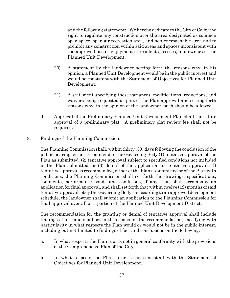and the following statement: "We hereby dedicate to the City of Colby the right to regulate any construction over the area designated as common open space, open air recreation area, and non-encroachable area and to prohibit any construction within said areas and spaces inconsistent with the approved use or enjoyment of residents, lessees, and owners of the Planned Unit Development."

- 20) A statement by the landowner setting forth the reasons why, in his opinion, a Planned Unit Development would be in the public interest and would be consistent with the Statement of Objectives for Planned Unit Development.
- 21) A statement specifying those variances, modifications, reductions, and waivers being requested as part of the Plan approval and setting forth reasons why, in the opinion of the landowner, such should be allowed.
- d. Approval of the Preliminary Planned Unit Development Plan shall constitute approval of a preliminary plat. A preliminary plat review fee shall not be required.
- 8. Findings of the Planning Commission:

The Planning Commission shall, within thirty (30) days following the conclusion of the public hearing, either recommend to the Governing Body (1) tentative approval of the Plan as submitted, (2) tentative approval subject to specified conditions not included in the Plan submitted, or (3) denial of the application for tentative approval. If tentative approval is recommended, either of the Plan as submitted or of the Plan with conditions, the Planning Commission shall set forth the drawings, specifications, comments, performance bonds and conditions, if any, that shall accompany an application for final approval, and shall set forth that within twelve (12) months of said tentative approval, obey the Governing Body, or according to an approved development schedule, the landowner shall submit an application to the Planning Commission for final approval over all or a portion of the Planned Unit Development District.

The recommendation for the granting or denial of tentative approval shall include findings of fact and shall set forth reasons for the recommendation, specifying with particularity in what respects the Plan would or would not be in the public interest, including but not limited to findings of fact and conclusions on the following:

- a. In what respects the Plan is or is not in general conformity with the provisions of the Comprehensive Plan of the City.
- b. In what respects the Plan is or is not consistent with the Statement of Objectives for Planned Unit Development.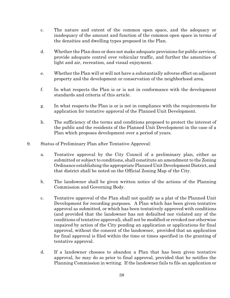- c. The nature and extent of the common open space, and the adequacy or inadequacy of the amount and function of the common open space in terms of the densities and dwelling types proposed in the Plan.
- d. Whether the Plan does or does not make adequate provisions for public services, provide adequate control over vehicular traffic, and further the amenities of light and air, recreation, and visual enjoyment.
- e. Whether the Plan will or will not have a substantially adverse effect on adjacent property and the development or conservation of the neighborhood area.
- f. In what respects the Plan is or is not in conformance with the development standards and criteria of this article.
- g. In what respects the Plan is or is not in compliance with the requirements for application for tentative approval of the Planned Unit Development.
- h. The sufficiency of the terms and conditions proposed to protect the interest of the public and the residents of the Planned Unit Development in the case of a Plan which proposes development over a period of years.
- 9. Status of Preliminary Plan after Tentative Approval:
	- a. Tentative approval by the City Council of a preliminary plan, either as submitted or subject to conditions, shall constitute an amendment to the Zoning Ordinance establishing the appropriate Planned Unit Development District, and that district shall be noted on the Official Zoning Map of the City.
	- b. The landowner shall be given written notice of the actions of the Planning Commission and Governing Body.
	- c. Tentative approval of the Plan shall not qualify as a plat of the Planned Unit Development for recording purposes. A Plan which has been given tentative approval as submitted, or which has been tentatively approved with conditions (and provided that the landowner has not defaulted nor violated any of the conditions of tentative approval), shall not be modified or revoked nor otherwise impaired by action of the City pending an application or applications for final approval, without the consent of the landowner, provided that an application for final approval is filed within the time or times specified in the granting of tentative approval.
	- d. If a landowner chooses to abandon a Plan that has been given tentative approval, he may do so prior to final approval, provided that he notifies the Planning Commission in writing. If the landowner fails to file an application or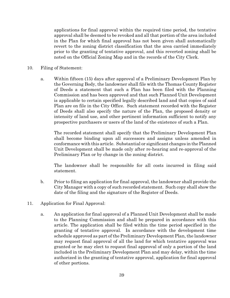applications for final approval within the required time period, the tentative approval shall be deemed to be revoked and all that portion of the area included in the Plan for which final approval has not been given shall automatically revert to the zoning district classification that the area carried immediately prior to the granting of tentative approval, and this reverted zoning shall be noted on the Official Zoning Map and in the records of the City Clerk.

- 10. Filing of Statement:
	- a. Within fifteen (15) days after approval of a Preliminary Development Plan by the Governing Body, the landowner shall file with the Thomas County Register of Deeds a statement that such a Plan has been filed with the Planning Commission and has been approved and that such Planned Unit Development is applicable to certain specified legally described land and that copies of said Plan are on file in the City Office. Such statement recorded with the Register of Deeds shall also specify the nature of the Plan, the proposed density or intensity of land use, and other pertinent information sufficient to notify any prospective purchasers or users of the land of the existence of such a Plan.

The recorded statement shall specify that the Preliminary Development Plan shall become binding upon all successors and assigns unless amended in conformance with this article. Substantial or significant changes in the Planned Unit Development shall be made only after re-hearing and re-approval of the Preliminary Plan or by change in the zoning district.

The landowner shall be responsible for all costs incurred in filing said statement.

- b. Prior to filing an application for final approval, the landowner shall provide the City Manager with a copy of such recorded statement. Such copy shall show the date of the filing and the signature of the Register of Deeds.
- 11. Application for Final Approval:
	- a. An application for final approval of a Planned Unit Development shall be made to the Planning Commission and shall be prepared in accordance with this article. The application shall be filed within the time period specified in the granting of tentative approval. In accordance with the development time schedule approved as part of the Preliminary Development Plan, the landowner may request final approval of all the land for which tentative approval was granted or he may elect to request final approval of only a portion of the land included in the Preliminary Development Plan and may delay, within the time authorized in the granting of tentative approval, application for final approval of other portions.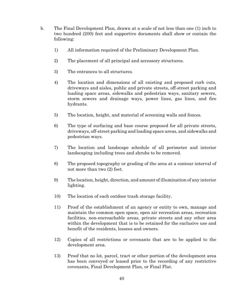- b. The Final Development Plan, drawn at a scale of not less than one (1) inch to two hundred (200) feet and supportive documents shall show or contain the following:
	- 1) All information required of the Preliminary Development Plan.
	- 2) The placement of all principal and accessory structures.
	- 3) The entrances to all structures.
	- 4) The location and dimensions of all existing and proposed curb cuts, driveways and aisles, public and private streets, off-street parking and loading space areas, sidewalks and pedestrian ways, sanitary sewers, storm sewers and drainage ways, power lines, gas lines, and fire hydrants.
	- 5) The location, height, and material of screening walls and fences.
	- 6) The type of surfacing and base course proposed for all private streets, driveways, off-street parking and loading space areas, and sidewalks and pedestrian ways.
	- 7) The location and landscape schedule of all perimeter and interior landscaping including trees and shrubs to be removed.
	- 8) The proposed topography or grading of the area at a contour interval of not more than two (2) feet.
	- 9) The location, height, direction, and amount of illumination of any interior lighting.
	- 10) The location of each outdoor trash storage facility.
	- 11) Proof of the establishment of an agency or entity to own, manage and maintain the common open space, open air recreation areas, recreation facilities, non-encroachable areas, private streets and any other area within the development that is to be retained for the exclusive use and benefit of the residents, lessees and owners.
	- 12) Copies of all restrictions or covenants that are to be applied to the development area.
	- 13) Proof that no lot, parcel, tract or other portion of the development area has been conveyed or leased prior to the recording of any restrictive covenants, Final Development Plan, or Final Plat.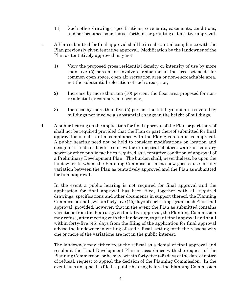- 14) Such other drawings, specifications, covenants, easements, conditions, and performance bonds as set forth in the granting of tentative approval.
- c. A Plan submitted for final approval shall be in substantial compliance with the Plan previously given tentative approval. Modification by the landowner of the Plan as tentatively approved may not:
	- 1) Vary the proposed gross residential density or intensity of use by more than five (5) percent or involve a reduction in the area set aside for common open space, open air recreation area or non-encroachable area, not the substantial relocation of such areas; nor,
	- 2) Increase by more than ten (10) percent the floor area proposed for nonresidential or commercial uses; nor,
	- 3) Increase by more than five (5) percent the total ground area covered by buildings nor involve a substantial change in the height of buildings.
- d. A public hearing on the application for final approval of the Plan or part thereof shall not be required provided that the Plan or part thereof submitted for final approval is in substantial compliance with the Plan given tentative approval. A public hearing need not be held to consider modifications on location and design of streets or facilities for water or disposal of storm water or sanitary sewer or other public facilities required as a tentative condition of approval of a Preliminary Development Plan. The burden shall, nevertheless, be upon the landowner to whom the Planning Commission must show good cause for any variation between the Plan as tentatively approved and the Plan as submitted for final approval.

In the event a public hearing is not required for final approval and the application for final approval has been filed, together with all required drawings, specifications and other documents in support thereof, the Planning Commission shall, within forty-five (45) days of such filing, grant such Plan final approval; provided, however, that in the event the Plan as submitted contains variations from the Plan as given tentative approval, the Planning Commission may refuse, after meeting with the landowner, to grant final approval and shall within forty-five (45) days from the filing of the application for final approval advise the landowner in writing of said refusal, setting forth the reasons why one or more of the variations are not in the public interest.

The landowner may either treat the refusal as a denial of final approval and resubmit the Final Development Plan in accordance with the request of the Planning Commission, or he may, within forty-five (45) days of the date of notice of refusal, request to appeal the decision of the Planning Commission. In the event such an appeal is filed, a public hearing before the Planning Commission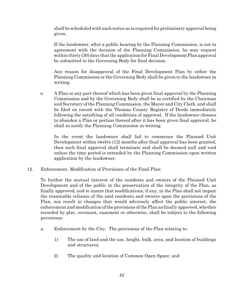shall be scheduled with such notice as is required for preliminary approval being given.

If the landowner, after a public hearing by the Planning Commission, is not in agreement with the decision of the Planning Commission, he may request within thirty  $(30)$  days that the application for Final Development Plan approval be submitted to the Governing Body for final decision.

Any reason for disapproval of the Final Development Plan by either the Planning Commission or the Governing Body shall be given to the landowner in writing.

e. A Plan or any part thereof which has been given final approval by the Planning Commission and by the Governing Body shall be so certified by the Chairman and Secretary of the Planning Commission, the Mayor and City Clerk, and shall be filed on record with the Thomas County Register of Deeds immediately following the satisfying of all conditions of approval. If the landowner chooses to abandon a Plan or portion thereof after it has been given final approval, he shall so notify the Planning Commission in writing.

In the event the landowner shall fail to commence the Planned Unit Development within twelve (12) months after final approval has been granted, then such final approval shall terminate and shall be deemed null and void unless the time period is extended by the Planning Commission upon written application by the landowner.

12. Enforcement, Modification of Provisions of the Final Plan:

To further the mutual interest of the residents and owners of the Planned Unit Development and of the public in the preservation of the integrity of the Plan, as finally approved, and to insure that modifications, if any, in the Plan shall not impair the reasonable reliance of the said residents and owners upon the provisions of the Plan, nor result in changes that would adversely affect the public interest, the enforcement and modification of the provisions of the Plan as finally approved, whether recorded by plat, covenant, easement or otherwise, shall be subject to the following provisions:

- a. Enforcement by the City. The provisions of the Plan relating to:
	- 1) The use of land and the use, height, bulk, area, and location of buildings and structures;
	- 2) The quality and location of Common Open Space; and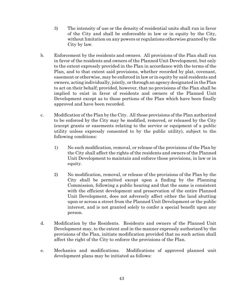- 3) The intensity of use or the density of residential units shall run in favor of the City and shall be enforceable in law or in equity by the City, without limitation on any powers or regulations otherwise granted by the City by law.
- b. Enforcement by the residents and owners. All provisions of the Plan shall run in favor of the residents and owners of the Planned Unit Development, but only to the extent expressly provided in the Plan in accordance with the terms of the Plan, and to that extent said provisions, whether recorded by plat, covenant, easement or otherwise, may be enforced in law or in equity by said residents and owners, acting individually, jointly, or through an agency designated in the Plan to act on their behalf; provided, however, that no provisions of the Plan shall be implied to exist in favor of residents and owners of the Planned Unit Development except as to those portions of the Plan which have been finally approved and have been recorded.
- c. Modification of the Plan by the City. All those provisions of the Plan authorized to be enforced by the City may be modified, removed, or released by the City (except grants or easements relating to the service or equipment of a public utility unless expressly consented to by the public utility), subject to the following conditions:
	- 1) No such modification, removal, or release of the provisions of the Plan by the City shall affect the rights of the residents and owners of the Planned Unit Development to maintain and enforce those provisions, in law or in equity.
	- 2) No modification, removal, or release of the provisions of the Plan by the City shall be permitted except upon a finding by the Planning Commission, following a public hearing and that the same is consistent with the efficient development and preservation of the entire Planned Unit Development, does not adversely affect either the land abutting upon or across a street from the Planned Unit Development or the public interest, and is not granted solely to confer a special benefit upon any person.
- d. Modification by the Residents. Residents and owners of the Planned Unit Development may, to the extent and in the manner expressly authorized by the provisions of the Plan, initiate modification provided that no such action shall affect the right of the City to enforce the provisions of the Plan.
- e. Mechanics and modifications. Modifications of approved planned unit development plans may be initiated as follows: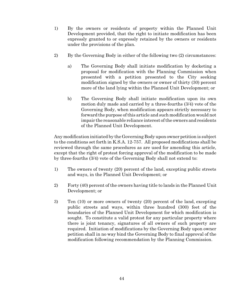- 1) By the owners or residents of property within the Planned Unit Development provided, that the right to initiate modification has been expressly granted to or expressly retained by the owners or residents under the provisions of the plan.
- 2) By the Governing Body in either of the following two (2) circumstances:
	- a) The Governing Body shall initiate modification by docketing a proposal for modification with the Planning Commission when presented with a petition presented to the City seeking modification signed by the owners or owner of thirty (30) percent more of the land lying within the Planned Unit Development; or
	- b) The Governing Body shall initiate modification upon its own motion duly made and carried by a three-fourths (3/4) vote of the Governing Body, when modification appears strictly necessary to forward the purpose of this article and such modification would not impair the reasonable reliance interest of the owners and residents of the Planned Unit Development.

Any modification initiated by the Governing Body upon owner petition is subject to the conditions set forth in K.S.A. 12-757. All proposed modifications shall be reviewed through the same procedures as are used for amending this article, except that the right of protest forcing approval of the modification to be made by three-fourths (3/4) vote of the Governing Body shall not extend to:

- 1) The owners of twenty (20) percent of the land, excepting public streets and ways, in the Planned Unit Development; or
- 2) Forty (40) percent of the owners having title to lands in the Planned Unit Development; or
- 3) Ten (10) or more owners of twenty (20) percent of the land, excepting public streets and ways, within three hundred (300) feet of the boundaries of the Planned Unit Development for which modification is sought. To constitute a valid protest for any particular property where there is joint tenancy, signatures of all owners of such property are required. Initiation of modifications by the Governing Body upon owner petition shall in no way bind the Governing Body to final approval of the modification following recommendation by the Planning Commission.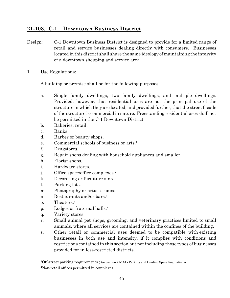## **21-108. C-1 – Downtown Business District**

- Design: C-1 Downtown Business District is designed to provide for a limited range of retail and service businesses dealing directly with consumers. Businesses located in this district shall share the same ideology of maintaining the integrity of a downtown shopping and service area.
- 1. Use Regulations:

A building or premise shall be for the following purposes:

- a. Single family dwellings, two family dwellings, and multiple dwellings. Provided, however, that residential uses are not the principal use of the structure in which they are located; and provided further, that the street facade of the structure is commercial in nature. Freestanding residential uses shall not be permitted in the C-1 Downtown District.
- b. Bakeries, retail.
- c. Banks.
- d. Barber or beauty shops.
- $e.$  Commercial schools of business or arts.<sup>1</sup>
- f. Drugstores.
- g. Repair shops dealing with household appliances and smaller.
- h. Florist shops.
- i. Hardware stores.
- j. Office space/office complexes.²
- k. Decorating or furniture stores.
- l. Parking lots.
- m. Photography or artist studios.
- n. Restaurants and/or bars.<sup>1</sup>
- $o.$  Theaters.<sup>1</sup>
- p. Lodges or fraternal halls.<sup>1</sup>
- q. Variety stores.
- r. Small animal pet shops, grooming, and veterinary practices limited to small animals, where all services are contained within the confines of the building.
- s. Other retail or commercial uses deemed to be compatible with existing businesses in both use and intensity, if it complies with conditions and restrictions contained in this section but not including those types of businesses provided for in less-restricted districts.

<sup>1</sup>Off-street parking requirements (See Section 21-114 - Parking and Loading Space Regulations) ²Non-retail offices permitted in complexes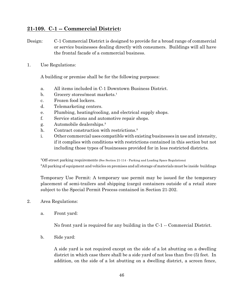#### **21-109. C-1 -- Commercial District:**

Design: C-1 Commercial District is designed to provide for a broad range of commercial or service businesses dealing directly with consumers. Buildings will all have the frontal facade of a commercial business.

1. Use Regulations:

A building or premise shall be for the following purposes:

- a. All items included in C-1 Downtown Business District.
- b. Grocery stores/meat markets.<sup>1</sup>
- c. Frozen food lockers.
- d. Telemarketing centers.
- e. Plumbing, heating/cooling, and electrical supply shops.
- f. Service stations and automotive repair shops.
- g. Automobile dealerships.³
- h. Contract construction with restrictions.<sup>3</sup>
- i. Other commercial uses compatible with existing businesses in use and intensity, if it complies with conditions with restrictions contained in this section but not including those types of businesses provided for in less restricted districts.

<sup>1</sup>Off-street parking requirements (See Section 21-114 - Parking and Loading Space Regulations)

<sup>3</sup>All parking of equipment and vehicles on premises and all storage of materials must be inside buildings

Temporary Use Permit: A temporary use permit may be issued for the temporary placement of semi-trailers and shipping (cargo) containers outside of a retail store subject to the Special Permit Process contained in Section 21-202.

- 2. Area Regulations:
	- a. Front yard:

No front yard is required for any building in the C-1 -- Commercial District.

b. Side yard:

A side yard is not required except on the side of a lot abutting on a dwelling district in which case there shall be a side yard of not less than five (5) feet. In addition, on the side of a lot abutting on a dwelling district, a screen fence,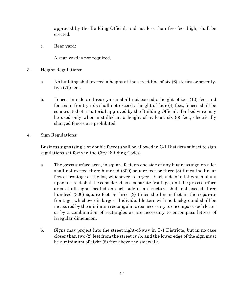approved by the Building Official, and not less than five feet high, shall be erected.

c. Rear yard:

A rear yard is not required.

- 3. Height Regulations:
	- a. No building shall exceed a height at the street line of six (6) stories or seventyfive (75) feet.
	- b. Fences in side and rear yards shall not exceed a height of ten (10) feet and fences in front yards shall not exceed a height of four (4) feet; fences shall be constructed of a material approved by the Building Official. Barbed wire may be used only when installed at a height of at least six (6) feet; electrically charged fences are prohibited.
- 4. Sign Regulations:

Business signs (single or double faced) shall be allowed in C-1 Districts subject to sign regulations set forth in the City Building Codes.

- a. The gross surface area, in square feet, on one side of any business sign on a lot shall not exceed three hundred (300) square feet or three (3) times the linear feet of frontage of the lot, whichever is larger. Each side of a lot which abuts upon a street shall be considered as a separate frontage, and the gross surface area of all signs located on each side of a structure shall not exceed three hundred (300) square feet or three (3) times the linear feet in the separate frontage, whichever is larger. Individual letters with no background shall be measured by the minimum rectangular area necessary to encompass such letter or by a combination of rectangles as are necessary to encompass letters of irregular dimension.
- b. Signs may project into the street right-of-way in C-1 Districts, but in no case closer than two (2) feet from the street curb, and the lower edge of the sign must be a minimum of eight (8) feet above the sidewalk.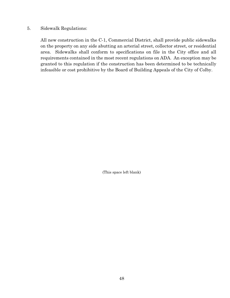#### 5. Sidewalk Regulations:

All new construction in the C-1, Commercial District, shall provide public sidewalks on the property on any side abutting an arterial street, collector street, or residential area. Sidewalks shall conform to specifications on file in the City office and all requirements contained in the most recent regulations on ADA. An exception may be granted to this regulation if the construction has been determined to be technically infeasible or cost prohibitive by the Board of Building Appeals of the City of Colby.

(This space left blank)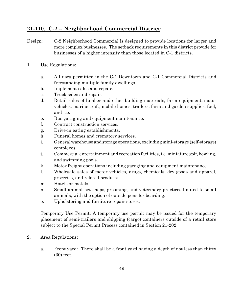#### **21-110. C-2 -- Neighborhood Commercial District:**

- Design: C-2 Neighborhood Commercial is designed to provide locations for larger and more complex businesses. The setback requirements in this district provide for businesses of a higher intensity than those located in C-1 districts.
- 1. Use Regulations:
	- a. All uses permitted in the C-1 Downtown and C-1 Commercial Districts and freestanding multiple family dwellings.
	- b. Implement sales and repair.
	- c. Truck sales and repair.
	- d. Retail sales of lumber and other building materials, farm equipment, motor vehicles, marine craft, mobile homes, trailers, farm and garden supplies, fuel, and ice.
	- e. Bus garaging and equipment maintenance.
	- f. Contract construction services.
	- g. Drive-in eating establishments.
	- h. Funeral homes and crematory services.
	- i. Generalwarehouse and storage operations, excluding mini-storage (self-storage) complexes.
	- j. Commercial entertainment and recreation facilities, i.e. miniature golf, bowling, and swimming pools.
	- k. Motor freight operations including garaging and equipment maintenance.
	- l. Wholesale sales of motor vehicles, drugs, chemicals, dry goods and apparel, groceries, and related products.
	- m. Hotels or motels.
	- n. Small animal pet shops, grooming, and veterinary practices limited to small animals, with the option of outside pens for boarding.
	- o. Upholstering and furniture repair stores.

Temporary Use Permit: A temporary use permit may be issued for the temporary placement of semi-trailers and shipping (cargo) containers outside of a retail store subject to the Special Permit Process contained in Section 21-202.

- 2. Area Regulations:
	- a. Front yard: There shall be a front yard having a depth of not less than thirty (30) feet.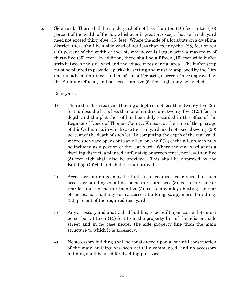b. Side yard: There shall be a side yard of not less than ten (10) feet or ten (10) percent of the width of the lot, whichever is greater, except that such side yard need not exceed thirty-five (35) feet. Where the side of a lot abuts on a dwelling district, there shall be a side yard of not less than twenty-five (25) feet or ten (10) percent of the width of the lot, whichever is larger, with a maximum of thirty-five (35) feet. In addition, there shall be a fifteen (15) foot wide buffer strip between the side yard and the adjacent residential area. The buffer strip must be planted to provide a park-like setting and must be approved by the City and must be maintained. In lieu of the buffer strip, a screen fence approved by the Building Official, and not less than five (5) feet high, may be erected.

#### c. Rear yard:

- 1) There shall be a rear yard having a depth of not less than twenty-five (25) feet, unless the lot is less than one hundred and twenty-five (125) feet in depth and the plat thereof has been duly recorded in the office of the Register of Deeds of Thomas County, Kansas, at the time of the passage of this Ordinance, in which case the rear yard need not exceed twenty (20) percent of the depth of such lot. In computing the depth of the rear yard, where such yard opens onto an alley, one-half  $(½)$  of the alley width may be included as a portion of the rear yard. Where the rear yard abuts a dwelling district, a planted buffer strip or screen fence, not less than five (5) feet high shall also be provided. This shall be approved by the Building Official and shall be maintained.
- 2) Accessory buildings may be built in a required rear yard, but such accessory buildings shall not be nearer than three (3) feet to any side or rear lot line, nor nearer than five (5) feet to any alley abutting the rear of the lot, nor shall any such accessory building occupy more than thirty (30) percent of the required rear yard.
- 3) Any accessory and unattached building to be built upon corner lots must be set back fifteen (15) feet from the property line of the adjacent side street and in no case nearer the side property line than the main structure to which it is accessory.
- 4) No accessory building shall be constructed upon a lot until construction of the main building has been actually commenced, and no accessory building shall be used for dwelling purposes.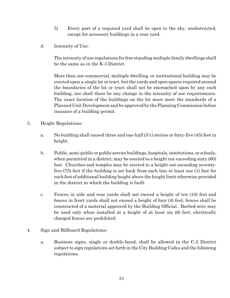- 5) Every part of a required yard shall be open to the sky, unobstructed, except for accessory buildings in a rear yard.
- d. Intensity of Use:

The intensity of use regulations for free standing multiple family dwellings shall be the same as in the R-3 District.

More than one commercial, multiple dwelling, or institutional building may be erected upon a single lot or tract, but the yards and open spaces required around the boundaries of the lot or tract shall not be encroached upon by any such building, nor shall there be any change in the intensity of use requirements. The exact location of the buildings on the lot must meet the standards of a Planned Unit Development and be approved by the Planning Commission before issuance of a building permit.

- 3. Height Regulations:
	- a. No building shall exceed three and one-half  $(3/2)$  stories or forty-five (45) feet in height.
	- b. Public, semi-public or public service buildings, hospitals, institutions, or schools, when permitted in a district, may be erected to a height not exceeding sixty  $(60)$ feet. Churches and temples may be erected to a height not exceeding seventyfive (75) feet if the building is set back from each line at least one (1) foot for each foot of additional building height above the height limit otherwise provided in the district in which the building is built.
	- c. Fences in side and rear yards shall not exceed a height of ten (10) feet and fences in front yards shall not exceed a height of four (4) feet; fences shall be constructed of a material approved by the Building Official. Barbed wire may be used only when installed at a height of at least six (6) feet; electrically charged fences are prohibited.
- 4. Sign and Billboard Regulations:
	- a. Business signs, single or double-faced, shall be allowed in the C-2 District subject to sign regulations set forth in the City Building Codes and the following regulations.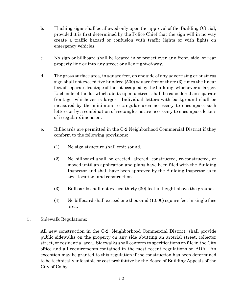- b. Flashing signs shall be allowed only upon the approval of the Building Official, provided it is first determined by the Police Chief that the sign will in no way create a traffic hazard or confusion with traffic lights or with lights on emergency vehicles.
- c. No sign or billboard shall be located in or project over any front, side, or rear property line or into any street or alley right-of-way.
- d. The gross surface area, in square feet, on one side of any advertising or business sign shall not exceed five hundred (500) square feet or three (3) times the linear feet of separate frontage of the lot occupied by the building, whichever is larger. Each side of the lot which abuts upon a street shall be considered as separate frontage, whichever is larger. Individual letters with background shall be measured by the minimum rectangular area necessary to encompass such letters or by a combination of rectangles as are necessary to encompass letters of irregular dimension.
- e. Billboards are permitted in the C-2 Neighborhood Commercial District if they conform to the following provisions:
	- (1) No sign structure shall emit sound.
	- (2) No billboard shall be erected, altered, constructed, re-constructed, or moved until an application and plans have been filed with the Building Inspector and shall have been approved by the Building Inspector as to size, location, and construction.
	- (3) Billboards shall not exceed thirty (30) feet in height above the ground.
	- $(4)$  No billboard shall exceed one thousand  $(1,000)$  square feet in single face area.
- 5. Sidewalk Regulations:

All new construction in the C-2, Neighborhood Commercial District, shall provide public sidewalks on the property on any side abutting an arterial street, collector street, or residential area. Sidewalks shall conform to specifications on file in the City office and all requirements contained in the most recent regulations on ADA. An exception may be granted to this regulation if the construction has been determined to be technically infeasible or cost prohibitive by the Board of Building Appeals of the City of Colby.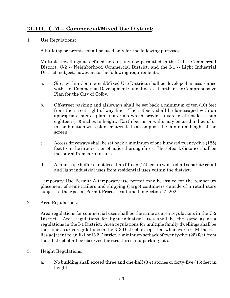## **21-111. C-M -- Commercial/Mixed Use District:**

1. Use Regulations:

A building or premise shall be used only for the following purposes:

Multiple Dwellings as defined herein; any use permitted in the C-1 -- Commercial District, C-2 -- Neighborhood Commercial District, and the I-1 -- Light Industrial District; subject, however, to the following requirements:

- a. Sites within Commercial/Mixed Use Districts shall be developed in accordance with the "Commercial Development Guidelines" set forth in the Comprehensive Plan for the City of Colby.
- b. Off-street parking and aisleways shall be set back a minimum of ten (10) feet from the street right-of-way line. The setback shall be landscaped with an appropriate mix of plant materials which provide a screen of not less than eighteen (18) inches in height. Earth berms or walls may be used in lieu of or in combination with plant materials to accomplish the minimum height of the screen.
- c. Access driveways shall be set back a minimum of one hundred twenty-five (125) feet from the intersection of major thoroughfares. The setback distance shall be measured from curb to curb.
- d. A landscape buffer of not less than fifteen (15) feet in width shall separate retail and light industrial uses from residential uses within the district.

Temporary Use Permit: A temporary use permit may be issued for the temporary placement of semi-trailers and shipping (cargo) containers outside of a retail store subject to the Special Permit Process contained in Section 21-202.

2. Area Regulations:

Area regulations for commercial uses shall be the same as area regulations in the C-2 District. Area regulations for light industrial uses shall be the same as area regulations in the I-1 District. Area regulations for multiple family dwellings shall be the same as area regulations in the R-3 District, except that whenever a C-M District lies adjacent to an R-1 or R-2 District, a minimum setback of twenty-five (25) feet from that district shall be observed for structures and parking lots.

- 3. Height Regulations:
	- a. No building shall exceed three and one-half (3½) stories or forty-five (45) feet in height.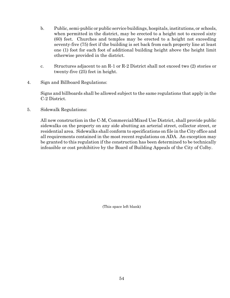- b. Public, semi-public or public service buildings, hospitals, institutions, or schools, when permitted in the district, may be erected to a height not to exceed sixty (60) feet. Churches and temples may be erected to a height not exceeding seventy-five (75) feet if the building is set back from each property line at least one (1) foot for each foot of additional building height above the height limit otherwise provided in the district.
- c. Structures adjacent to an R-1 or R-2 District shall not exceed two (2) stories or twenty-five (25) feet in height.
- 4. Sign and Billboard Regulations:

Signs and billboards shall be allowed subject to the same regulations that apply in the C-2 District.

5. Sidewalk Regulations:

All new construction in the C-M, Commercial/Mixed Use District, shall provide public sidewalks on the property on any side abutting an arterial street, collector street, or residential area. Sidewalks shall conform to specifications on file in the City office and all requirements contained in the most recent regulations on ADA. An exception may be granted to this regulation if the construction has been determined to be technically infeasible or cost prohibitive by the Board of Building Appeals of the City of Colby.

(This space left blank)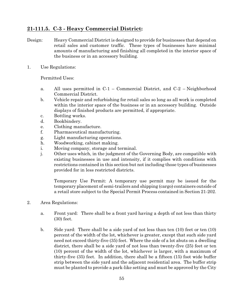## **21-111.5. C-3 - Heavy Commercial District:**

- Design: Heavy Commercial District is designed to provide for businesses that depend on retail sales and customer traffic. These types of businesses have minimal amounts of manufacturing and finishing all completed in the interior space of the business or in an accessory building.
- 1. Use Regulations:

Permitted Uses:

- a. All uses permitted in C-1 Commercial District, and C-2 Neighborhood Commercial District.
- b. Vehicle repair and refurbishing for retail sales so long as all work is completed within the interior space of the business or in an accessory building. Outside displays of finished products are permitted, if appropriate.
- c. Bottling works.
- d. Bookbindery.
- e. Clothing manufacture.
- f. Pharmaceutical manufacturing.
- g. Light manufacturing operations.
- h. Woodworking, cabinet making.
- i. Moving company, storage and terminal.
- j. Other uses which, in the judgment of the Governing Body, are compatible with existing businesses in use and intensity, if it complies with conditions with restrictions contained in this section but not including those types of businesses provided for in less restricted districts.

Temporary Use Permit: A temporary use permit may be issued for the temporary placement of semi-trailers and shipping (cargo) containers outside of a retail store subject to the Special Permit Process contained in Section 21-202.

- 2. Area Regulations:
	- a. Front yard: There shall be a front yard having a depth of not less than thirty (30) feet.
	- b. Side yard: There shall be a side yard of not less than ten (10) feet or ten (10) percent of the width of the lot, whichever is greater, except that such side yard need not exceed thirty-five (35) feet. Where the side of a lot abuts on a dwelling district, there shall be a side yard of not less than twenty-five (25) feet or ten (10) percent of the width of the lot, whichever is larger, with a maximum of thirty-five (35) feet. In addition, there shall be a fifteen (15) foot wide buffer strip between the side yard and the adjacent residential area. The buffer strip must be planted to provide a park-like setting and must be approved by the City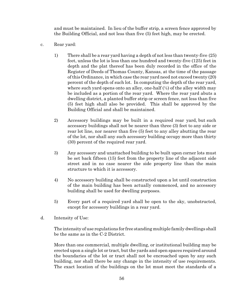and must be maintained. In lieu of the buffer strip, a screen fence approved by the Building Official, and not less than five (5) feet high, may be erected.

- c. Rear yard:
	- 1) There shall be a rear yard having a depth of not less than twenty-five (25) feet, unless the lot is less than one hundred and twenty-five (125) feet in depth and the plat thereof has been duly recorded in the office of the Register of Deeds of Thomas County, Kansas, at the time of the passage of this Ordinance, in which case the rear yard need not exceed twenty (20) percent of the depth of such lot. In computing the depth of the rear yard, where such yard opens onto an alley, one-half  $(\frac{1}{2})$  of the alley width may be included as a portion of the rear yard. Where the rear yard abuts a dwelling district, a planted buffer strip or screen fence, not less than five (5) feet high shall also be provided. This shall be approved by the Building Official and shall be maintained.
	- 2) Accessory buildings may be built in a required rear yard, but such accessory buildings shall not be nearer than three (3) feet to any side or rear lot line, nor nearer than five (5) feet to any alley abutting the rear of the lot, nor shall any such accessory building occupy more than thirty (30) percent of the required rear yard.
	- 3) Any accessory and unattached building to be built upon corner lots must be set back fifteen (15) feet from the property line of the adjacent side street and in no case nearer the side property line than the main structure to which it is accessory.
	- 4) No accessory building shall be constructed upon a lot until construction of the main building has been actually commenced, and no accessory building shall be used for dwelling purposes.
	- 5) Every part of a required yard shall be open to the sky, unobstructed, except for accessory buildings in a rear yard.
- d. Intensity of Use:

The intensity of use regulations for free standing multiple family dwellings shall be the same as in the C-2 District.

More than one commercial, multiple dwelling, or institutional building may be erected upon a single lot or tract, but the yards and open spaces required around the boundaries of the lot or tract shall not be encroached upon by any such building, nor shall there be any change in the intensity of use requirements. The exact location of the buildings on the lot must meet the standards of a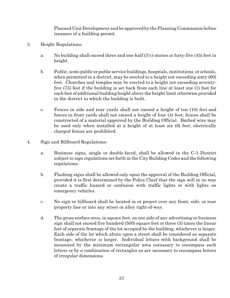Planned UnitDevelopment and be approved by the Planning Commission before issuance of a building permit.

- 3. Height Regulations:
	- a. No building shall exceed three and one-half  $(3\frac{1}{2})$  stories or forty-five (45) feet in height.
	- b. Public, semi-public or public service buildings, hospitals, institutions, or schools, when permitted in a district, may be erected to a height not exceeding sixty (60) feet. Churches and temples may be erected to a height not exceeding seventyfive (75) feet if the building is set back from each line at least one (1) foot for each foot of additional building height above the height limit otherwise provided in the district in which the building is built.
	- c. Fences in side and rear yards shall not exceed a height of ten (10) feet and fences in front yards shall not exceed a height of four (4) feet; fences shall be constructed of a material approved by the Building Official. Barbed wire may be used only when installed at a height of at least six (6) feet; electrically charged fences are prohibited.
- 4. Sign and Billboard Regulations:
	- a. Business signs, single or double-faced, shall be allowed in the C-3 District subject to sign regulations set forth in the City Building Codes and the following regulations.
	- b. Flashing signs shall be allowed only upon the approval of the Building Official, provided it is first determined by the Police Chief that the sign will in no way create a traffic hazard or confusion with traffic lights or with lights on emergency vehicles.
	- c. No sign or billboard shall be located in or project over any front, side, or rear property line or into any street or alley right-of-way.
	- d. The gross surface area, in square feet, on one side of any advertising or business sign shall not exceed five hundred (500) square feet or three (3) times the linear feet of separate frontage of the lot occupied by the building, whichever is larger. Each side of the lot which abuts upon a street shall be considered as separate frontage, whichever is larger. Individual letters with background shall be measured by the minimum rectangular area necessary to encompass such letters or by a combination of rectangles as are necessary to encompass letters of irregular dimensions.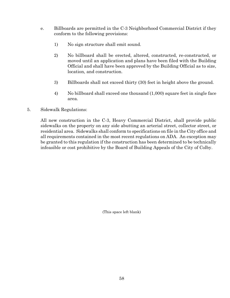- e. Billboards are permitted in the C-3 Neighborhood Commercial District if they conform to the following provisions:
	- 1) No sign structure shall emit sound.
	- 2) No billboard shall be erected, altered, constructed, re-constructed, or moved until an application and plans have been filed with the Building Official and shall have been approved by the Building Official as to size, location, and construction.
	- 3) Billboards shall not exceed thirty (30) feet in height above the ground.
	- 4) No billboard shall exceed one thousand (1,000) square feet in single face area.
- 5. Sidewalk Regulations:

All new construction in the C-3, Heavy Commercial District, shall provide public sidewalks on the property on any side abutting an arterial street, collector street, or residential area. Sidewalks shall conform to specifications on file in the City office and all requirements contained in the most recent regulations on ADA. An exception may be granted to this regulation if the construction has been determined to be technically infeasible or cost prohibitive by the Board of Building Appeals of the City of Colby.

(This space left blank)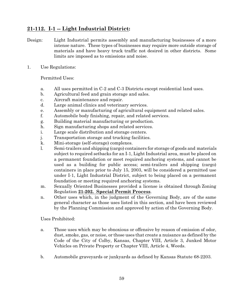### **21-112. I-1 -- Light Industrial District:**

- Design: Light Industrial permits assembly and manufacturing businesses of a more intense nature. These types of businesses may require more outside storage of materials and have heavy truck traffic not desired in other districts. Some limits are imposed as to emissions and noise.
- 1. Use Regulations:

Permitted Uses:

- a. All uses permitted in C-2 and C-3 Districts except residential land uses.
- b. Agricultural feed and grain storage and sales.
- c. Aircraft maintenance and repair.
- d. Large animal clinics and veterinary services.
- e. Assembly or manufacturing of agricultural equipment and related sales.
- f. Automobile body finishing, repair, and related services.
- g. Building material manufacturing or production.
- h. Sign manufacturing shops and related services.
- i. Large scale distribution and storage centers.
- j. Transportation storage and trucking facilities.
- k. Mini-storage (self-storage) complexes.
- l. Semi-trailers and shipping (cargo) containers for storage of goods and materials subject to required setbacks for an I-1, Light Industrial area, must be placed on a permanent foundation or meet required anchoring systems, and cannot be used as a building for public access; semi-trailers and shipping (cargo) containers in place prior to July 15, 2003, will be considered a permitted use under I-1, Light Industrial District, subject to being placed on a permanent foundation or meeting required anchoring systems.
- m. Sexually Oriented Businesses provided a license is obtained through Zoning Regulation **21-202. Special Permit Process**.
- n. Other uses which, in the judgment of the Governing Body, are of the same general character as those uses listed in this section, and have been reviewed by the Planning Commission and approved by action of the Governing Body.

Uses Prohibited:

- a. Those uses which may be obnoxious or offensive by reason of emission of odor, dust, smoke, gas, or noise, or those uses that create a nuisance as defined by the Code of the City of Colby, Kansas, Chapter VIII, Article 3, Junked Motor Vehicles on Private Property or Chapter VIII, Article 4, Weeds.
- b. Automobile graveyards or junkyards as defined by Kansas Statute 68-2203.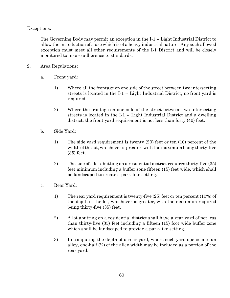Exceptions:

The Governing Body may permit an exception in the I-1 -- Light Industrial District to allow the introduction of a use which is of a heavy industrial nature. Any such allowed exception must meet all other requirements of the I-1 District and will be closely monitored to insure adherence to standards.

- 2. Area Regulations:
	- a. Front yard:
		- 1) Where all the frontage on one side of the street between two intersecting streets is located in the I-1 -- Light Industrial District, no front yard is required.
		- 2) Where the frontage on one side of the street between two intersecting streets is located in the I-1 -- Light Industrial District and a dwelling district, the front yard requirement is not less than forty (40) feet.
	- b. Side Yard:
		- 1) The side yard requirement is twenty (20) feet or ten (10) percent of the width of the lot, whichever is greater, with the maximum being thirty-five (35) feet.
		- 2) The side of a lot abutting on a residential district requires thirty-five (35) feet minimum including a buffer zone fifteen (15) feet wide, which shall be landscaped to create a park-like setting.
	- c. Rear Yard:
		- 1) The rear yard requirement is twenty-five (25) feet or ten percent (10%) of the depth of the lot, whichever is greater, with the maximum required being thirty-five (35) feet.
		- 2) A lot abutting on a residential district shall have a rear yard of not less than thirty-five (35) feet including a fifteen (15) foot wide buffer zone which shall be landscaped to provide a park-like setting.
		- 3) In computing the depth of a rear yard, where such yard opens onto an alley, one-half  $(\frac{1}{2})$  of the alley width may be included as a portion of the rear yard.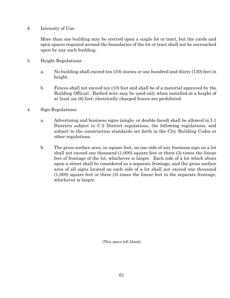d. Intensity of Use:

More than one building may be erected upon a single lot or tract, but the yards and open spaces required around the boundaries of the lot or tract shall not be encroached upon by any such building.

- 3. Height Regulations:
	- a. No building shall exceed ten (10) stories or one hundred and thirty (130) feet in height.
	- b. Fences shall not exceed ten (10) feet and shall be of a material approved by the Building Official. Barbed wire may be used only when installed at a height of at least six (6) feet; electrically charged fences are prohibited.
- 4. Sign Regulations:
	- a. Advertising and business signs (single- or double-faced) shall be allowed in I-1 Districts subject to C-2 District regulations, the following regulations, and subject to the construction standards set forth in the City Building Codes or other regulations.
	- b. The gross surface area, in square feet, on one side of any business sign on a lot shall not exceed one thousand (1,000) square feet or three (3) times the linear feet of frontage of the lot, whichever is larger. Each side of a lot which abuts upon a street shall be considered as a separate frontage, and the gross surface area of all signs located on each side of a lot shall not exceed one thousand (1,000) square feet or three (3) times the linear feet in the separate frontage, whichever is larger.

(This space left blank)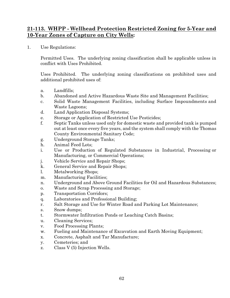#### **21-113. WHPP - Wellhead Protection Restricted Zoning for 5-Year and 10-Year Zones of Capture on City Wells:**

1. Use Regulations:

Permitted Uses. The underlying zoning classification shall be applicable unless in conflict with Uses Prohibited.

Uses Prohibited. The underlying zoning classifications on prohibited uses and additional prohibited uses of:

- a. Landfills;
- b. Abandoned and Active Hazardous Waste Site and Management Facilities;
- c. Solid Waste Management Facilities, including Surface Impoundments and Waste Lagoons;
- d. Land Application Disposal Systems;
- e. Storage or Application of Restricted Use Pesticides;
- f. Septic Tanks unless used only for domestic waste and provided tank is pumped out at least once every five years, and the system shall comply with the Thomas County Environmental Sanitary Code;
- g. Underground Storage Tanks;
- h. Animal Feed Lots;
- i. Use or Production of Regulated Substances in Industrial, Processing or Manufacturing, or Commercial Operations;
- j. Vehicle Service and Repair Shops;
- k. General Service and Repair Shops;
- l. Metalworking Shops;
- m. Manufacturing Facilities;
- n. Underground and Above Ground Facilities for Oil and Hazardous Substances;
- o. Waste and Scrap Processing and Storage;
- p. Transportation Corridors;
- q. Laboratories and Professional Building;
- r. Salt Storage and Use for Winter Road and Parking Lot Maintenance;
- s. Snow dumps;
- t. Stormwater Infiltration Ponds or Leaching Catch Basins;
- u. Cleaning Services;
- v. Food Processing Plants;
- w. Fueling and Maintenance of Excavation and Earth Moving Equipment;
- x. Concrete, Asphalt and Tar Manufacture;
- y. Cemeteries; and
- z. Class V (5) Injection Wells.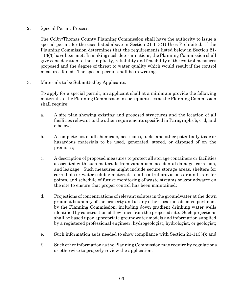2. Special Permit Process:

The Colby/Thomas County Planning Commission shall have the authority to issue a special permit for the uses listed above in Section 21-113(1) Uses Prohibited., if the Planning Commission determines that the requirements listed below in Section 21- 113(3) have been met. In making such determinations, the Planning Commission shall give consideration to the simplicity, reliability and feasibility of the control measures proposed and the degree of threat to water quality which would result if the control measures failed. The special permit shall be in writing.

3. Materials to be Submitted by Applicants:

To apply for a special permit, an applicant shall at a minimum provide the following materials to the Planning Commission in such quantities as the Planning Commission shall require:

- a. A site plan showing existing and proposed structures and the location of all facilities relevant to the other requirements specified in Paragraphs b, c, d, and e below;
- b. A complete list of all chemicals, pesticides, fuels, and other potentially toxic or hazardous materials to be used, generated, stored, or disposed of on the premises;
- c. A description of proposed measures to protect all storage containers or facilities associated with such materials from vandalism, accidental damage, corrosion, and leakage. Such measures might include secure storage areas, shelters for corrodible or water soluble materials, spill control provisions around transfer points, and schedule of future monitoring of waste streams or groundwater on the site to ensure that proper control has been maintained;
- d. Projections of concentrations of relevant solutes in the groundwater at the down gradient boundary of the property and at any other locations deemed pertinent by the Planning Commission, including down gradient drinking water wells identified by construction of flow lines from the proposed site. Such projections shall be based upon appropriate groundwater models and information supplied by a registered professional engineer, hydrogeologist, hydrologist, or geologist;
- e. Such information as is needed to show compliance with Section 21-113(4); and
- f. Such other information as the Planning Commission may require by regulations or otherwise to properly review the application.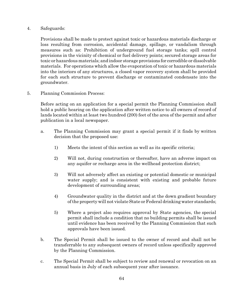#### 4. Safeguards:

Provisions shall be made to protect against toxic or hazardous materials discharge or loss resulting from corrosion, accidental damage, spillage, or vandalism through measures such as: Prohibition of underground fuel storage tanks; spill control provisions in the vicinity of chemical or fuel delivery points; secured storage areas for toxic or hazardous materials; and indoor storage provisions for corrodible or dissolvable materials. For operations which allow the evaporation of toxic or hazardous materials into the interiors of any structures, a closed vapor recovery system shall be provided for each such structure to prevent discharge or contaminated condensate into the groundwater.

5. Planning Commission Process:

Before acting on an application for a special permit the Planning Commission shall hold a public hearing on the application after written notice to all owners of record of lands located within at least two hundred (200) feet of the area of the permit and after publication in a local newspaper.

- a. The Planning Commission may grant a special permit if it finds by written decision that the proposed use:
	- 1) Meets the intent of this section as well as its specific criteria;
	- 2) Will not, during construction or thereafter, have an adverse impact on any aquifer or recharge area in the wellhead protection district;
	- 3) Will not adversely affect an existing or potential domestic or municipal water supply; and is consistent with existing and probable future development of surrounding areas;
	- 4) Groundwater quality in the district and at the down gradient boundary of the property will not violate State or Federal drinking water standards;
	- 5) Where a project also requires approval by State agencies, the special permit shall include a condition that no building permits shall be issued until evidence has been received by the Planning Commission that such approvals have been issued.
- b. The Special Permit shall be issued to the owner of record and shall not be transferrable to any subsequent owners of record unless specifically approved by the Planning Commission.
- c. The Special Permit shall be subject to review and renewal or revocation on an annual basis in July of each subsequent year after issuance.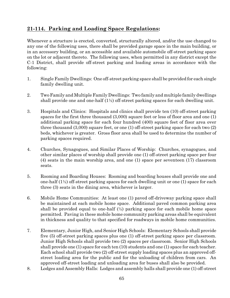# **21-114. Parking and Loading Space Regulations:**

Whenever a structure is erected, converted, structurally altered, and/or the use changed to any one of the following uses, there shall be provided garage space in the main building, or in an accessory building, or an accessible and available automobile off-street parking space on the lot or adjacent thereto. The following uses, when permitted in any district except the C-1 District, shall provide off-street parking and loading areas in accordance with the following:

- 1. Single Family Dwellings: One off-street parking space shall be provided for each single family dwelling unit.
- 2. TwoFamily and Multiple Family Dwellings: Two family and multiple family dwellings shall provide one and one-half  $(1/2)$  off-street parking spaces for each dwelling unit.
- 3. Hospitals and Clinics: Hospitals and clinics shall provide ten (10) off-street parking spaces for the first three thousand (3,000) square feet or less of floor area and one (1) additional parking space for each four hundred (400) square feet of floor area over three thousand (3,000) square feet, or one (1) off-street parking space for each two (2) beds, whichever is greater. Gross floor area shall be used to determine the number of parking spaces required.
- 4. Churches, Synagogues, and Similar Places of Worship: Churches, synagogues, and other similar places of worship shall provide one (1) off-street parking space per four (4) seats in the main worship area, and one (1) space per seventeen (17) classroom seats.
- 5. Rooming and Boarding Houses: Rooming and boarding houses shall provide one and one-half  $(1\frac{1}{2})$  off-street parking spaces for each dwelling unit or one (1) space for each three (3) seats in the dining area, whichever is larger.
- 6. Mobile Home Communities: At least one (1) paved off-driveway parking space shall be maintained at each mobile home space. Additional paved common parking area shall be provided equal to one-half  $(\frac{1}{2})$  parking space for each mobile home space permitted. Paving in these mobile home community parking areas shall be equivalent in thickness and quality to that specified for roadways in mobile home communities.
- 7. Elementary, Junior High, and Senior High Schools: Elementary Schools shall provide five (5) off-street parking spaces plus one (1) off-street parking space per classroom. Junior High Schools shall provide two (2) spaces per classroom. Senior High Schools shall provide one (1) space for each ten (10) students and one (1) space for each teacher. Each school shall provide two (2) off-street supply loading spaces plus an approved offstreet loading area for the public and for the unloading of children from cars. An approved off-street loading and unloading area for buses shall also be provided.
- 8. Lodges and Assembly Halls: Lodges and assembly halls shall provide one (1) off-street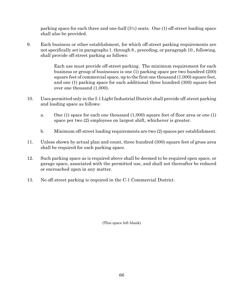parking space for each three and one-half (3½) seats. One (1) off-street loading space shall also be provided.

9. Each business or other establishment, for which off-street parking requirements are not specifically set in paragraphs 1. through 8., preceding, or paragraph 10., following, shall provide off-street parking as follows:

> Each use must provide off-street parking. The minimum requirement for each business or group of businesses is one (1) parking space per two hundred (200) square feet of commercial space, up to the first one thousand (1,000) square feet, and one (1) parking space for each additional three hundred (300) square feet over one thousand (1,000).

- 10. Uses permitted only in the I-1 Light Industrial District shall provide off-street parking and loading space as follows:
	- a. One (1) space for each one thousand (1,000) square feet of floor area or one (1) space per two (2) employees on largest shift, whichever is greater.
	- b. Minimum off-street loading requirements are two (2) spaces per establishment.
- 11. Unless shown by actual plan and count, three hundred (300) square feet of gross area shall be required for each parking space.
- 12. Such parking space as is required above shall be deemed to be required open space, or garage space, associated with the permitted use, and shall not thereafter be reduced or encroached upon in any matter.
- 13. No off-street parking is required in the C-1 Commercial District.

(This space left blank)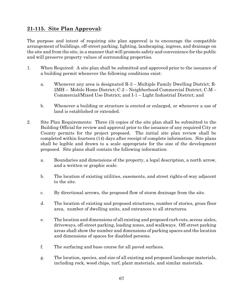## **21-115. Site Plan Approval:**

The purpose and intent of requiring site plan approval is to encourage the compatible arrangement of buildings, off-street parking, lighting, landscaping, ingress, and drainage on the site and from the site, in a manner that will promote safety and convenience for the public and will preserve property values of surrounding properties.

- 1. When Required: A site plan shall be submitted and approved prior to the issuance of a building permit whenever the following conditions exist:
	- a. Whenever any area is designated R-3 Multiple Family Dwelling District; R-2MH – Mobile Home District; C-2 – Neighborhood Commercial District; C-M – Commercial/Mixed Use District; and I-1 – Light Industrial District; and
	- b. Whenever a building or structure is erected or enlarged, or whenever a use of land is established or extended.
- 2. Site Plan Requirements: Three (3) copies of the site plan shall be submitted to the Building Official for review and approval prior to the issuance of any required City or County permits for the project proposed. The initial site plan review shall be completed within fourteen (14) days after receipt of complete information. Site plans shall be legible and drawn to a scale appropriate for the size of the development proposed. Site plans shall contain the following information:
	- a. Boundaries and dimensions of the property, a legal description, a north arrow, and a written or graphic scale.
	- b. The location of existing utilities, easements, and street rights-of-way adjacent to the site.
	- c. By directional arrows, the proposed flow of storm drainage from the site.
	- d. The location of existing and proposed structures, number of stories, gross floor area, number of dwelling units, and entrances to all structures.
	- e. The location and dimensions of all existing and proposed curb cuts, access aisles, driveways, off-street parking, loading zones, and walkways. Off-street parking areas shall show the number and dimensions of parking spaces and the location and dimensions of spaces for disabled persons.
	- f. The surfacing and base course for all paved surfaces.
	- g. The location, species, and size of all existing and proposed landscape materials, including rock, wood chips, turf, plant materials, and similar materials.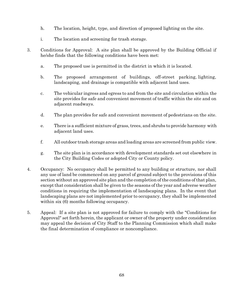- h. The location, height, type, and direction of proposed lighting on the site.
- i. The location and screening for trash storage.
- 3. Conditions for Approval: A site plan shall be approved by the Building Official if he/she finds that the following conditions have been met:
	- a. The proposed use is permitted in the district in which it is located.
	- b. The proposed arrangement of buildings, off-street parking, lighting, landscaping, and drainage is compatible with adjacent land uses.
	- c. The vehicular ingress and egress to and from the site and circulation within the site provides for safe and convenient movement of traffic within the site and on adjacent roadways.
	- d. The plan provides for safe and convenient movement of pedestrians on the site.
	- e. There is a sufficient mixture of grass, trees, and shrubs to provide harmony with adjacent land uses.
	- f. All outdoor trash storage areas and loading areas are screened from public view.
	- g. The site plan is in accordance with development standards set out elsewhere in the City Building Codes or adopted City or County policy.
- 4. Occupancy: No occupancy shall be permitted to any building or structure, nor shall any use of land be commenced on any parcel of ground subject to the provisions of this section without an approved site plan and the completion of the conditions of that plan, except that consideration shall be given to the seasons of the year and adverse weather conditions in requiring the implementation of landscaping plans. In the event that landscaping plans are not implemented prior to occupancy, they shall be implemented within six  $(6)$  months following occupancy.
- 5. Appeal: If a site plan is not approved for failure to comply with the "Conditions for Approval" set forth herein, the applicant or owner of the property under consideration may appeal the decision of City Staff to the Planning Commission which shall make the final determination of compliance or noncompliance.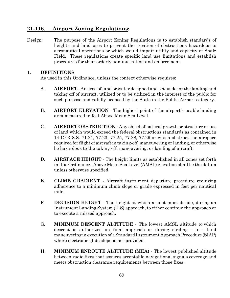#### **21-116. – Airport Zoning Regulations:**

Design: The purpose of the Airport Zoning Regulations is to establish standards of heights and land uses to prevent the creation of obstructions hazardous to aeronautical operations or which would impair utility and capacity of Shalz Field. These regulations create specific land use limitations and establish procedures for their orderly administration and enforcement.

#### **1. DEFINITIONS**

As used in this Ordinance, unless the context otherwise requires:

- A. **AIRPORT** An area of land or water designed and set aside for the landing and taking off of aircraft, utilized or to be utilized in the interest of the public for such purpose and validly licensed by the State in the Public Airport category.
- B. **AIRPORT ELEVATION** The highest point of the airport's usable landing area measured in feet Above Mean Sea Level.
- C. **AIRPORT OBSTRUCTION** Any object of natural growth or structure or use of land which would exceed the federal obstructions standards as contained in 14 CFR S.S. 71.21, 77.23, 77.25, 77.28, 77.29 or which obstruct the airspace required for flight of aircraft in taking-off, maneuvering or landing, or otherwise be hazardous to the taking-off, maneuvering, or landing of aircraft.
- D. **AIRSPACE HEIGHT** The height limits as established in all zones set forth in this Ordinance. Above Mean Sea Level (AMSL) elevation shall be the datum unless otherwise specified.
- E. **CLIMB GRADIENT**  Aircraft instrument departure procedure requiring adherence to a minimum climb slope or grade expressed in feet per nautical mile.
- F. **DECISION HEIGHT** The height at which a pilot must decide, during an Instrument Landing System (ILS) approach, to either continue the approach or to execute a missed approach.
- G. **MINIMUM DESCENT ALTITUDE** The lowest AMSL altitude to which descent is authorized on final approach or during circling - to - land maneuvering in execution of a Standard Instrument Approach Procedure (SIAP) where electronic glide slope is not provided.
- H. **MINIMUM ENROUTE ALTITUDE (MEA)** The lowest published altitude between radio fixes that assures acceptable navigational signals coverage and meets obstruction clearance requirements between those fixes.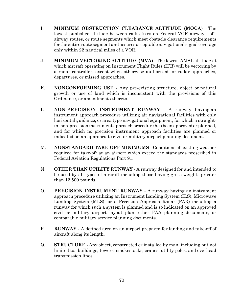- I. **MINIMUM OBSTRUCTION CLEARANCE ALTITUDE (MOCA)** The lowest published altitude between radio fixes on Federal VOR airways, offairway routes, or route segments which meet obstacle clearance requirements for the entire route segment and assures acceptable navigational signal coverage only within 22 nautical miles of a VOR.
- J. **MINIMUM VECTORING ALTITUDE (MVA)**  The lowest AMSL altitude at which aircraft operating on Instrument Flight Rules (IFR) will be vectoring by a radar controller, except when otherwise authorized for radar approaches, departures, or missed approaches.
- K. **NONCONFORMING USE** Any pre-existing structure, object or natural growth or use of land which is inconsistent with the provisions of this Ordinance, or amendments thereto.
- L. **NON-PRECISION INSTRUMENT RUNWAY** A runway having an instrument approach procedure utilizing air navigational facilities with only horizontal guidance, or area type navigational equipment, for which a straightin, non-precision instrument approach procedure has been approved or planned, and for which no precision instrument approach facilities are planned or indicated on an appropriate civil or military airport planning document.
- M. **NONSTANDARD TAKE-OFF MINIMUMS** Conditions of existing weather required for take-off at an airport which exceed the standards prescribed in Federal Aviation Regulations Part 91.
- N. **OTHER THAN UTILITY RUNWAY** A runway designed for and intended to be used by all types of aircraft including those having gross weights greater than 12,500 pounds.
- O. **PRECISION INSTRUMENT RUNWAY** A runway having an instrument approach procedure utilizing an Instrument Landing System (ILS), Microwave Landing System (MLS), or a Precision Approach Radar (PAR) including a runway for which such a system is planned and is so indicated on an approved civil or military airport layout plan; other FAA planning documents, or comparable military service planning documents.
- P. **RUNWAY** A defined area on an airport prepared for landing and take-off of aircraft along its length.
- Q. **STRUCTURE** Any object, constructed or installed by man, including but not limited to: buildings, towers, smokestacks, cranes, utility poles, and overhead transmission lines.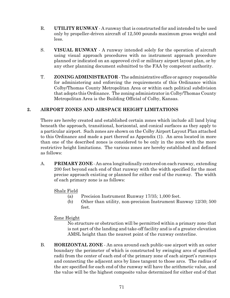- R. **UTILITY RUNWAY** A runway that is constructed for and intended to be used only by propeller-driven aircraft of 12,500 pounds maximum gross weight and less.
- S. **VISUAL RUNWAY** A runway intended solely for the operation of aircraft using visual approach procedures with no instrument approach procedure planned or indicated on an approved civil or military airport layout plan, or by any other planning document submitted to the FAA by competent authority.
- T. **ZONING ADMINISTRATOR** The administrative office or agency responsible for administering and enforcing the requirements of this Ordinance within Colby/Thomas County Metropolitan Area or within each political subdivision that adopts this Ordinance. The zoning administrator in Colby/Thomas County Metropolitan Area is the Building Official of Colby, Kansas.

#### **2. AIRPORT ZONES AND AIRSPACE HEIGHT LIMITATIONS**

There are hereby created and established certain zones which include all land lying beneath the approach, transitional, horizontal, and conical surfaces as they apply to a particular airport. Such zones are shown on the Colby Airport Layout Plan attached to this Ordinance and made a part thereof as Appendix (1). An area located in more than one of the described zones is considered to be only in the zone with the more restrictive height limitations. The various zones are hereby established and defined as follows:

A. **PRIMARY ZONE** - An area longitudinally centered on each runway, extending 200 feet beyond each end of that runway with the width specified for the most precise approach existing or planned for either end of the runway. The width of each primary zone is as follows:

#### Shalz Field

- (a) Precision Instrument Runway 17/35; 1,000 feet.
- (b) Other than utility, non-precision Instrument Runway 12/30; 500 feet.

#### Zone Height

No structure or obstruction will be permitted within a primary zone that is not part of the landing and take-off facility and is of a greater elevation AMSL height than the nearest point of the runway centerline.

B. **HORIZONTAL ZONE** - An area around each public-use airport with an outer boundary the perimeter of which is constructed by swinging arcs of specified radii from the center of each end of the primary zone of each airport's runways and connecting the adjacent arcs by lines tangent to those arcs. The radius of the arc specified for each end of the runway will have the arithmetic value, and the value will be the highest composite value determined for either end of that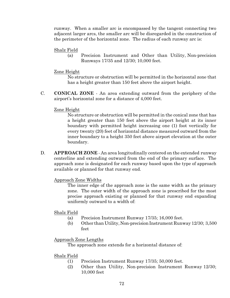runway. When a smaller arc is encompassed by the tangent connecting two adjacent larger arcs, the smaller arc will be disregarded in the construction of the perimeter of the horizontal zone. The radius of each runway arc is:

Shalz Field

(a) Precision Instrument and Other than Utility, Non-precision Runways 17/35 and 12/30; 10,000 feet.

#### Zone Height

No structure or obstruction will be permitted in the horizontal zone that has a height greater than 150 feet above the airport height.

C. **CONICAL ZONE** - An area extending outward from the periphery of the airport's horizontal zone for a distance of 4,000 feet.

#### Zone Height

No structure or obstruction will be permitted in the conical zone that has a height greater than 150 feet above the airport height at its inner boundary with permitted height increasing one (1) foot vertically for every twenty (20) feet of horizontal distance measured outward from the inner boundary to a height 350 feet above airport elevation at the outer boundary.

D. **APPROACH ZONE** - An area longitudinally centered on the extended runway centerline and extending outward from the end of the primary surface. The approach zone is designated for each runway based upon the type of approach available or planned for that runway end.

#### Approach Zone Widths

The inner edge of the approach zone is the same width as the primary zone. The outer width of the approach zone is prescribed for the most precise approach existing or planned for that runway end expanding uniformly outward to a width of:

#### Shalz Field

- (a) Precision Instrument Runway 17/35; 16,000 feet.
- (b) Other than Utility, Non-precision Instrument Runway 12/30; 3,500 feet

#### Approach Zone Lengths

The approach zone extends for a horizontal distance of:

#### Shalz Field

- (1) Precision Instrument Runway 17/35; 50,000 feet.
- (2) Other than Utility, Non-precision Instrument Runway 12/30; 10,000 feet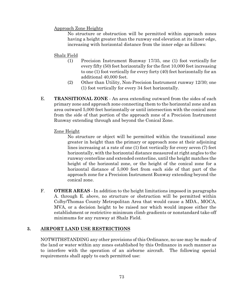#### Approach Zone Heights

No structure or obstruction will be permitted within approach zones having a height greater than the runway end elevation at its inner edge, increasing with horizontal distance from the inner edge as follows:

#### Shalz Field

- (1) Precision Instrument Runway 17/35, one (1) foot vertically for every fifty (50) feet horizontally for the first 10,000 feet increasing to one (1) foot vertically for every forty (40) feet horizontally for an additional 40,000 feet.
- (2) Other than Utility, Non-Precision Instrument runway 12/30; one (1) foot vertically for every 34 feet horizontally.
- E. **TRANSITIONAL ZONE**  An area extending outward from the sides of each primary zone and approach zone connecting them to the horizontal zone and an area outward 5,000 feet horizontally or until intersection with the conical zone from the side of that portion of the approach zone of a Precision Instrument Runway extending through and beyond the Conical Zone.

#### Zone Height

No structure or object will be permitted within the transitional zone greater in height than the primary or approach zone at their adjoining lines increasing at a rate of one (1) foot vertically for every seven (7) feet horizontally, with the horizontal distance measured at right angles to the runway centerline and extended centerline, until the height matches the height of the horizontal zone, or the height of the conical zone for a horizontal distance of 5,000 feet from each side of that part of the approach zone for a Precision Instrument Runway extending beyond the conical zone.

F. **OTHER AREAS** - In addition to the height limitations imposed in paragraphs A. through E. above, no structure or obstruction will be permitted within Colby/Thomas County Metropolitan Area that would cause a MDA., MOCA, MVA, or a decision height to be raised nor which would impose either the establishment or restrictive minimum climb gradients or nonstandard take-off minimums for any runway at Shalz Field.

### **3. AIRPORT LAND USE RESTRICTIONS**

NOTWITHSTANDING any other provisions of this Ordinance, no use may be made of the land or water within any zones established by this Ordinance in such manner as to interfere with the operation of an airborne aircraft. The following special requirements shall apply to each permitted use: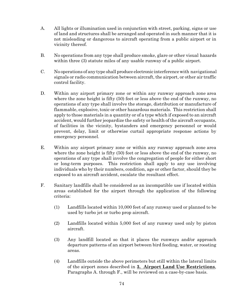- A. All lights or illumination used in conjunction with street, parking, signs or use of land and structures shall be arranged and operated in such manner that it is not misleading or dangerous to aircraft operating from a public airport or in vicinity thereof.
- B. No operations from any type shall produce smoke, glare or other visual hazards within three (3) statute miles of any usable runway of a public airport.
- C. No operations of any type shall produce electronic interference with navigational signals or radio communication between aircraft, the airport, or other air traffic control facility.
- D. Within any airport primary zone or within any runway approach zone area where the zone height is fifty (50) feet or less above the end of the runway, no operations of any type shall involve the storage, distribution or manufacture of flammable, explosive, toxic or other hazardous materials. This restriction shall apply to those materials in a quantity or of a type which if exposed to an aircraft accident, would further jeopardize the safety or health of the aircraft occupants, of facilities in the vicinity, bystanders and emergency personnel or would prevent, delay, limit or otherwise curtail appropriate response actions by emergency personnel.
- E. Within any airport primary zone or within any runway approach zone area where the zone height is fifty (50) feet or less above the end of the runway, no operations of any type shall involve the congregation of people for either short or long-term purposes. This restriction shall apply to any use involving individuals who by their numbers, condition, age or other factor, should they be exposed to an aircraft accident, escalate the resultant effect.
- F. Sanitary landfills shall be considered as an incompatible use if located within areas established for the airport through the application of the following criteria:
	- (1) Landfills located within 10,000 feet of any runway used or planned to be used by turbo jet or turbo prop aircraft.
	- (2) Landfills located within 5,000 feet of any runway used only by piston aircraft.
	- (3) Any landfill located so that it places the runways and/or approach departure patterns of an airport between bird feeding, water, or roosting areas.
	- (4) Landfills outside the above perimeters but still within the lateral limits of the airport zones described in **3. Airport Land Use Restrictions**, Paragraphs A. through F., will be reviewed on a case-by-case basis.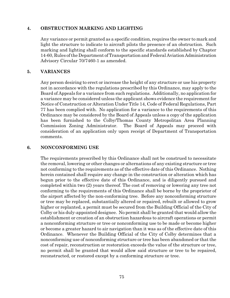#### **4. OBSTRUCTION MARKING AND LIGHTING**

Any variance or permit granted as a specific condition, requires the owner to mark and light the structure to indicate to aircraft pilots the presence of an obstruction. Such marking and lighting shall conform to the specific standards established by Chapter 14-60, Rules of the Department of Transportation and Federal Aviation Administration Advisory Circular 70/7460-1 as amended.

#### **5. VARIANCES**

Any person desiring to erect or increase the height of any structure or use his property not in accordance with the regulations prescribed by this Ordinance, may apply to the Board of Appeals for a variance from such regulations. Additionally, no application for a variance may be considered unless the applicant shows evidence the requirement for Notice of Construction or Alteration Under Title 14, Code of Federal Regulations, Part 77 has been complied with. No application for a variance to the requirements of this Ordinance may be considered by the Board of Appeals unless a copy of the application has been furnished to the Colby/Thomas County Metropolitan Area Planning Commission Zoning Administrator. The Board of Appeals may proceed with consideration of an application only upon receipt of Department of Transportation comments.

#### **6. NONCONFORMING USE**

The requirements prescribed by this Ordinance shall not be construed to necessitate the removal, lowering or other changes or alternations of any existing structure or tree not conforming to the requirements as of the effective date of this Ordinance. Nothing herein contained shall require any change in the construction or alteration which has begun prior to the effective date of this Ordinance, and is diligently pursued and completed within two (2) years thereof. The cost of removing or lowering any tree not conforming to the requirements of this Ordinance shall be borne by the proprietor of the airport affected by the non-conforming tree. Before any nonconforming structure or tree may be replaced, substantially altered or repaired, rebuilt or allowed to grow higher or replanted, a permit must be secured from the Building Official of the City of Colby or his duly-appointed designee. No permit shall be granted that would allow the establishment or creation of an obstruction hazardous to aircraft operations or permit a nonconforming structure or tree or nonconforming use to be made or become higher or become a greater hazard to air navigation than it was as of the effective date of this Ordinance. Whenever the Building Official of the City of Colby determines that a nonconforming use of nonconforming structure or tree has been abandoned or that the cost of repair, reconstruction or restoration exceeds the value of the structure or tree, no permit shall be granted that would allow said structure or tree to be repaired, reconstructed, or restored except by a conforming structure or tree.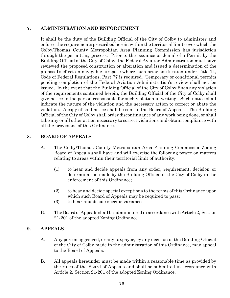#### **7. ADMINISTRATION AND ENFORCEMENT**

It shall be the duty of the Building Official of the City of Colby to administer and enforce the requirements prescribed herein within the territorial limits over which the Colby/Thomas County Metropolitan Area Planning Commission has jurisdiction through the permitting process. Prior to the issuance or denial of a Permit by the Building Official of the City of Colby, the Federal Aviation Administration must have reviewed the proposed construction or alteration and issued a determination of the proposal's effect on navigable airspace where such prior notification under Title 14, Code of Federal Regulations, Part 77 is required. Temporary or conditional permits pending completion of the Federal Aviation Administration's review shall not be issued. In the event that the Building Official of the City of Colby finds any violation of the requirements contained herein, the Building Official of the City of Colby shall give notice to the person responsible for such violation in writing. Such notice shall indicate the nature of the violation and the necessary action to correct or abate the violation. A copy of said notice shall be sent to the Board of Appeals. The Building Official of the City of Colby shall order discontinuance of any work being done, or shall take any or all other action necessary to correct violations and obtain compliance with all the provisions of this Ordinance.

#### **8. BOARD OF APPEALS**

- A. The Colby/Thomas County Metropolitan Area Planning Commission Zoning Board of Appeals shall have and will exercise the following power on matters relating to areas within their territorial limit of authority:
	- (1) to hear and decide appeals from any order, requirement, decision, or determination made by the Building Official of the City of Colby in the enforcement of this Ordinance;
	- (2) to hear and decide special exceptions to the terms of this Ordinance upon which such Board of Appeals may be required to pass;
	- (3) to hear and decide specific variances.
- B. The Board of Appeals shall be administered in accordance with Article 2, Section 21-201 of the adopted Zoning Ordinance.

#### **9. APPEALS**

- A. Any person aggrieved, or any taxpayer, by any decision of the Building Official of the City of Colby made in the administration of this Ordinance, may appeal to the Board of Appeals.
- B. All appeals hereunder must be made within a reasonable time as provided by the rules of the Board of Appeals and shall be submitted in accordance with Article 2, Section 21-201 of the adopted Zoning Ordinance.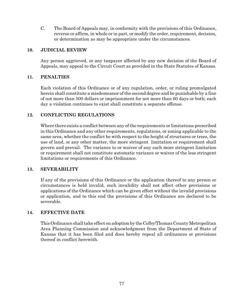C. The Board of Appeals may, in conformity with the provisions of this Ordinance, reverse or affirm, in whole or in part, or modify the order, requirement, decision, or determination as may be appropriate under the circumstances.

#### **10. JUDICIAL REVIEW**

Any person aggrieved, or any taxpayer affected by any new decision of the Board of Appeals, may appeal to the Circuit Court as provided in the State Statutes of Kansas.

#### **11. PENALTIES**

Each violation of this Ordinance or of any regulation, order, or ruling promulgated herein shall constitute a misdemeanor of the second degree and be punishable by a fine of not more than 500 dollars or imprisonment for not more than 60 days or both; each day a violation continues to exist shall constitute a separate offense.

#### **12. CONFLICTING REGULATIONS**

Where there exists a conflict between any of the requirements or limitations prescribed in this Ordinance and any other requirements, regulations, or zoning applicable to the same area, whether the conflict be with respect to the height of structures or trees, the use of land, or any other matter, the more stringent limitation or requirement shall govern and prevail. The variance to or waiver of any such more stringent limitation or requirement shall not constitute automatic variance or waiver of the less stringent limitations or requirements of this Ordinance.

#### **13. SEVERABILITY**

If any of the provisions of this Ordinance or the application thereof to any person or circumstances is held invalid, such invalidity shall not affect other provisions or applications of the Ordinance which can be given effect without the invalid provisions or application, and to this end the provisions of this Ordinance are declared to be severable.

#### **14. EFFECTIVE DATE**

This Ordinance shall take effect on adoption by the Colby/Thomas County Metropolitan Area Planning Commission and acknowledgment from the Department of State of Kansas that it has been filed and does hereby repeal all ordinances or provisions thereof in conflict herewith.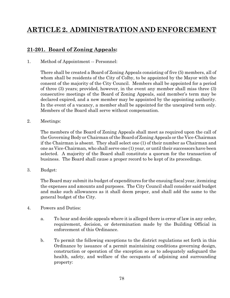# **ARTICLE 2. ADMINISTRATION AND ENFORCEMENT**

# **21-201. Board of Zoning Appeals:**

1. Method of Appointment -- Personnel:

There shall be created a Board of Zoning Appeals consisting of five (5) members, all of whom shall be residents of the City of Colby, to be appointed by the Mayor with the consent of the majority of the City Council. Members shall be appointed for a period of three (3) years; provided, however, in the event any member shall miss three (3) consecutive meetings of the Board of Zoning Appeals, said member's term may be declared expired, and a new member may be appointed by the appointing authority. In the event of a vacancy, a member shall be appointed for the unexpired term only. Members of the Board shall serve without compensation.

2. Meetings:

The members of the Board of Zoning Appeals shall meet as required upon the call of the Governing Body or Chairman of the Board of Zoning Appeals or the Vice-Chairman if the Chairman is absent. They shall select one (1) of their number as Chairman and one as Vice-Chairman, who shall serve one (1) year, or until their successors have been selected. A majority of the Board shall constitute a quorum for the transaction of business. The Board shall cause a proper record to be kept of its proceedings.

3. Budget:

The Board may submit its budget of expenditures for the ensuing fiscal year, itemizing the expenses and amounts and purposes. The City Council shall consider said budget and make such allowances as it shall deem proper, and shall add the same to the general budget of the City.

- 4. Powers and Duties:
	- a. To hear and decide appeals where it is alleged there is error of law in any order, requirement, decision, or determination made by the Building Official in enforcement of this Ordinance.
	- b. To permit the following exceptions to the district regulations set forth in this Ordinance by issuance of a permit maintaining conditions governing design, construction or operation of the exception so as to adequately safeguard the health, safety, and welfare of the occupants of adjoining and surrounding property: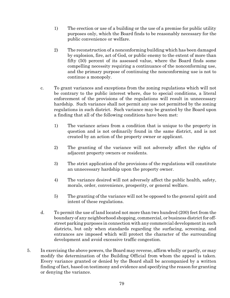- 1) The erection or use of a building or the use of a premise for public utility purposes only, which the Board finds to be reasonably necessary for the public convenience or welfare.
- 2) The reconstruction of a nonconforming building which has been damaged by explosion, fire, act of God, or public enemy to the extent of more than fifty (50) percent of its assessed value, where the Board finds some compelling necessity requiring a continuance of the nonconforming use, and the primary purpose of continuing the nonconforming use is not to continue a monopoly.
- c. To grant variances and exceptions from the zoning regulations which will not be contrary to the public interest where, due to special conditions, a literal enforcement of the provisions of the regulations will result in unnecessary hardship. Such variance shall not permit any use not permitted by the zoning regulations in such district. Such variance may be granted by the Board upon a finding that all of the following conditions have been met:
	- 1) The variance arises from a condition that is unique to the property in question and is not ordinarily found in the same district, and is not created by an action of the property owner or applicant.
	- 2) The granting of the variance will not adversely affect the rights of adjacent property owners or residents.
	- 3) The strict application of the provisions of the regulations will constitute an unnecessary hardship upon the property owner.
	- 4) The variance desired will not adversely affect the public health, safety, morals, order, convenience, prosperity, or general welfare.
	- 5) The granting of the variance will not be opposed to the general spirit and intent of these regulations.
- d. To permit the use of land located not more than two hundred (200) feet from the boundary of any neighborhood shopping, commercial, or business district for offstreet parking purposes in connection with any commercial development in such districts, but only when standards regarding the surfacing, screening, and entrances are imposed which will protect the character of the surrounding development and avoid excessive traffic congestion.
- 5. In exercising the above powers, the Board may reverse, affirm wholly or partly, or may modify the determination of the Building Official from whom the appeal is taken. Every variance granted or denied by the Board shall be accompanied by a written finding of fact, based on testimony and evidence and specifying the reason for granting or denying the variance.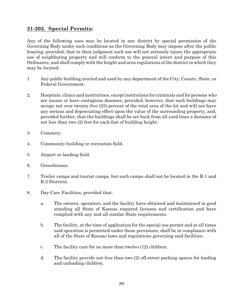# **21-202. Special Permits:**

Any of the following uses may be located in any district by special permission of the Governing Body under such conditions as the Governing Body may impose after the public hearing; provided, that in their judgment such use will not seriously injure the appropriate use of neighboring property and will conform to the general intent and purpose of this Ordinance, and shall comply with the height and area regulations of the district in which they may be located:

- 1. Any public building erected and used by any department of the City, County, State, or Federal Government.
- 2. Hospitals, clinics and institutions, exceptinstitutions for criminals and for persons who are insane or have contagious diseases; provided, however, that such buildings may occupy not over twenty-five (25) percent of the total area of the lot and will not have any serious and depreciating effect upon the value of the surrounding property, and, provided further, that the buildings shall be set back from all yard lines a distance of not less than two (2) feet for each foot of building height.
- 3. Cemetery.
- 4. Community building or recreation field.
- 5. Airport or landing field.
- 6. Greenhouses.
- 7. Trailer camps and tourist camps, but such camps shall not be located in the R-1 and R-2 Districts.
- 8. Day Care Facilities, provided that:
	- a. The owners, operators, and the facility have obtained and maintained in good standing all State of Kansas required licenses and certification and have complied with any and all similar State requirements.
	- b. The facility, at the time of application for the special use permit and at all times said operation is permitted under these provisions, shall be in compliance with all of the State of Kansas laws and regulations governing said facilities.
	- c. The facility care for no more than twelve (12) children.
	- d. The facility provide not less than two (2) off-street parking spaces for loading and unloading children.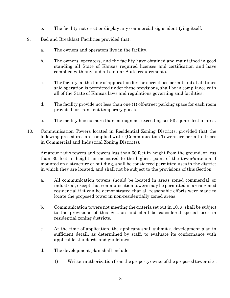- e. The facility not erect or display any commercial signs identifying itself.
- 9. Bed and Breakfast Facilities provided that:
	- a. The owners and operators live in the facility.
	- b. The owners, operators, and the facility have obtained and maintained in good standing all State of Kansas required licenses and certification and have complied with any and all similar State requirements.
	- c. The facility, at the time of application for the special use permit and at all times said operation is permitted under these provisions, shall be in compliance with all of the State of Kansas laws and regulations governing said facilities.
	- d. The facility provide not less than one (1) off-street parking space for each room provided for transient temporary guests.
	- e. The facility has no more than one sign not exceeding six (6) square feet in area.
- 10. Communication Towers located in Residential Zoning Districts, provided that the following procedures are complied with: (Communication Towers are permitted uses in Commercial and Industrial Zoning Districts).

Amateur radio towers and towers less than 60 feet in height from the ground, or less than 30 feet in height as measured to the highest point of the tower/antenna if mounted on a structure or building, shall be considered permitted uses in the district in which they are located, and shall not be subject to the provisions of this Section.

- a. All communication towers should be located in areas zoned commercial, or industrial, except that communication towers may be permitted in areas zoned residential if it can be demonstrated that all reasonable efforts were made to locate the proposed tower in non-residentially zoned areas.
- b. Communication towers not meeting the criteria set out in 10. a. shall be subject to the provisions of this Section and shall be considered special uses in residential zoning districts.
- c. At the time of application, the applicant shall submit a development plan in sufficient detail, as determined by staff, to evaluate its conformance with applicable standards and guidelines.
- d. The development plan shall include:
	- 1) Written authorization from the property owner of the proposed tower site.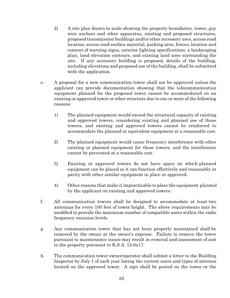- 2) A site plan drawn to scale showing the property boundaries, tower, guy wire anchors and other apparatus, existing and proposed structures, proposed transmission buildings and/or other accessory uses, access road location, access road surface material, parking area, fences, location and content of warning signs, exterior lighting specifications, a landscaping plan, land elevation contours, and existing land uses surrounding the site. If any accessory building is proposed, details of the building, including elevations and proposed use of the building, shall be submitted with the application.
- e. A proposal for a new communication tower shall not be approved unless the applicant can provide documentation showing that the telecommunication equipment planned for the proposed tower cannot be accommodated on an existing or approved tower or other structure due to one or more of the following reasons:
	- 1) The planned equipment would exceed the structural capacity of existing and approved towers, considering existing and planned use of those towers, and existing and approved towers cannot be reinforced to accommodate the planned or equivalent equipment at a reasonable cost.
	- 2) The planned equipment would cause frequency interference with other existing or planned equipment for these towers, and the interference cannot be prevented at a reasonable cost.
	- 3) Existing or approved towers do not have space on which planned equipment can be placed so it can function effectively and reasonably in parity with other similar equipment in place or approved.
	- 4) Other reasons that make it impracticable to place the equipment planned by the applicant on existing and approved towers.
- f. All communication towers shall be designed to accommodate at least two antennas for every 100 feet of tower height. The above requirements may be modified to provide the maximum number of compatible users within the radio frequency emission levels.
- g. Any communication tower that has not been properly maintained shall be removed by the owner at the owner's expense. Failure to remove the tower pursuant to maintenance issues may result in removal and assessment of cost to the property pursuant to K.S.A. 12-6a17.
- h. The communication tower owner/operator shall submit a letter to the Building Inspector by July 1 of each year listing the current users and types of antenna located on the approved tower. A sign shall be posted on the tower or the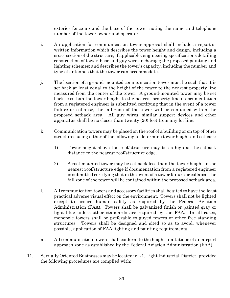exterior fence around the base of the tower noting the name and telephone number of the tower owner and operator.

- i. An application for communication tower approval shall include a report or written information which describes the tower height and design, including a cross-section of the structure, if applicable; engineering specifications detailing construction of tower, base and guy wire anchorage; the proposed painting and lighting schemes; and describes the tower's capacity, including the number and type of antennas that the tower can accommodate.
- j. The location of a ground-mounted communication tower must be such that it is set back at least equal to the height of the tower to the nearest property line measured from the center of the tower. A ground-mounted tower may be set back less than the tower height to the nearest property line if documentation from a registered engineer is submitted certifying that in the event of a tower failure or collapse, the fall zone of the tower will be contained within the proposed setback area. All guy wires, similar support devices and other apparatus shall be no closer than twenty (20) feet from any lot line.
- k. Communication towers may be placed on the roof of a building or on top of other structures using either of the following to determine tower height and setback:
	- 1) Tower height above the roof/structure may be as high as the setback distance to the nearest roof/structure edge.
	- 2) A roof-mounted tower may be set back less than the tower height to the nearest roof/structure edge if documentation from a registered engineer is submitted certifying that in the event of a tower failure or collapse, the fall zone of the tower will be contained within the proposed setback area.
- l. All communication towers and accessory facilities shall be sited to have the least practical adverse visual effect on the environment. Towers shall not be lighted except to assure human safety as required by the Federal Aviation Administration (FAA). Towers shall be galvanized finish or painted gray or light blue unless other standards are required by the FAA. In all cases, monopole towers shall be preferable to guyed towers or other free standing structures. Towers shall be designed and sited so as to avoid, whenever possible, application of FAA lighting and painting requirements.
- m. All communication towers shall conform to the height limitations of an airport approach zone as established by the Federal Aviation Administration (FAA).
- 11. Sexually Oriented Businesses may be located in I-1, Light Industrial District, provided the following procedures are complied with: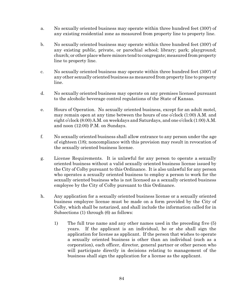- a. No sexually oriented business may operate within three hundred feet (300') of any existing residential zone as measured from property line to property line.
- b. No sexually oriented business may operate within three hundred feet (300') of any existing public, private, or parochial school; library; park; playground; church; or other place where minors tend to congregate; measured from property line to property line.
- c. No sexually oriented business may operate within three hundred feet (300') of any other sexually oriented business as measured from property line to property line.
- d. No sexually oriented business may operate on any premises licensed pursuant to the alcoholic beverage control regulations of the State of Kansas.
- e. Hours of Operation. No sexually oriented business, except for an adult motel, may remain open at any time between the hours of one o'clock (1:00) A.M. and eight o'clock (8:00) A.M. on weekdays and Saturdays, and one o'clock (1:00) A.M. and noon (12:00) P.M. on Sundays.
- f. No sexually oriented business shall allow entrance to any person under the age of eighteen (18); noncompliance with this provision may result in revocation of the sexually oriented business license.
- g. License Requirements. It is unlawful for any person to operate a sexually oriented business without a valid sexually oriented business license issued by the City of Colby pursuant to this Ordinance. It is also unlawful for any person who operates a sexually oriented business to employ a person to work for the sexually oriented business who is not licensed as a sexually oriented business employee by the City of Colby pursuant to this Ordinance.
- h. Any application for a sexually oriented business license or a sexually oriented business employee license must be made on a form provided by the City of Colby, which shall be notarized, and shall include the information called for in Subsections (1) through (6) as follows:
	- 1) The full true name and any other names used in the preceding five (5) years. If the applicant is an individual, he or she shall sign the application for license as applicant. If the person that wishes to operate a sexually oriented business is other than an individual (such as a corporation), each officer, director, general partner or other person who will participate directly in decisions relating to management of the business shall sign the application for a license as the applicant.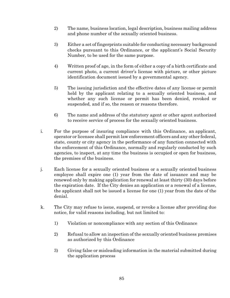- 2) The name, business location, legal description, business mailing address and phone number of the sexually oriented business.
- 3) Either a set of fingerprints suitable for conducting necessary background checks pursuant to this Ordinance, or the applicant's Social Security Number, to be used for the same purpose.
- 4) Written proof of age, in the form of either a copy of a birth certificate and current photo, a current driver's license with picture, or other picture identification document issued by a governmental agency.
- 5) The issuing jurisdiction and the effective dates of any license or permit held by the applicant relating to a sexually oriented business, and whether any such license or permit has been denied, revoked or suspended, and if so, the reason or reasons therefore.
- 6) The name and address of the statutory agent or other agent authorized to receive service of process for the sexually oriented business.
- i. For the purpose of insuring compliance with this Ordinance, an applicant, operator or licensee shall permit law enforcement officers and any other federal, state, county or city agency in the performance of any function connected with the enforcement of this Ordinance, normally and regularly conducted by such agencies, to inspect, at any time the business is occupied or open for business, the premises of the business.
- j. Each license for a sexually oriented business or a sexually oriented business employee shall expire one (1) year from the date of issuance and may be renewed only by making application for renewal at least thirty (30) days before the expiration date. If the City denies an application or a renewal of a license, the applicant shall not be issued a license for one (1) year from the date of the denial.
- k. The City may refuse to issue, suspend, or revoke a license after providing due notice, for valid reasons including, but not limited to:
	- 1) Violation or noncompliance with any section of this Ordinance
	- 2) Refusal to allow an inspection of the sexually oriented business premises as authorized by this Ordinance
	- 3) Giving false or misleading information in the material submitted during the application process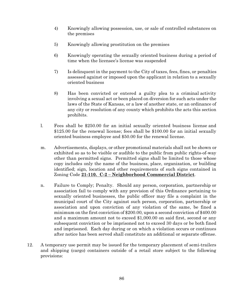- 4) Knowingly allowing possession, use, or sale of controlled substances on the premises
- 5) Knowingly allowing prostitution on the premises
- 6) Knowingly operating the sexually oriented business during a period of time when the licensee's license was suspended
- 7) Is delinquent in the payment to the City of taxes, fees, fines, or penalties assessed against or imposed upon the applicant in relation to a sexually oriented business
- 8) Has been convicted or entered a guilty plea to a criminal activity involving a sexual act or been placed on diversion for such acts under the laws of the State of Kansas, or a law of another state, or an ordinance of any city or resolution of any county which prohibits the acts this section prohibits.
- l. Fees shall be \$250.00 for an initial sexually oriented business license and \$125.00 for the renewal license; fees shall be \$100.00 for an initial sexually oriented business employee and \$50.00 for the renewal license.
- m. Advertisements, displays, or other promotional materials shall not be shown or exhibited so as to be visible or audible to the public from public rights-of-way other than permitted signs. Permitted signs shall be limited to those whose copy includes only the name of the business, place, organization, or building identified; sign, location and other requirements of such signs contained in Zoning Code **21-110. C-2 – Neighborhood Commercial District**.
- n. Failure to Comply; Penalty. Should any person, corporation, partnership or association fail to comply with any provision of this Ordinance pertaining to sexually oriented businesses, the public officer may file a complaint in the municipal court of the City against such person, corporation, partnership or association and upon conviction of any violation of the same, be fined a minimum on the first conviction of \$200.00, upon a second conviction of \$400.00 and a maximum amount not to exceed \$1,000.00 on said first, second or any subsequent conviction or be imprisoned not to exceed 30 days or be both fined and imprisoned. Each day during or on which a violation occurs or continues after notice has been served shall constitute an additional or separate offense.
- 12. A temporary use permit may be issued for the temporary placement of semi-trailers and shipping (cargo) containers outside of a retail store subject to the following provisions: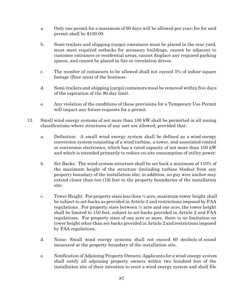- a. Only one permit for a maximum of 90 days will be allowed per year; fee for said permit shall be \$100.00.
- b. Semi-trailers and shipping (cargo) containers must be placed in the rear yard, must meet required setbacks for accessory buildings, cannot be adjacent to customer entrances or residential areas, cannot displace any required parking spaces, and cannot be placed in fire or circulation drives.
- c. The number of containers to be allowed shall not exceed 5% of indoor square footage (floor area) of the business.
- d. Semi-trailers and shipping (cargo) containers must be removed within five days of the expiration of the 90-day limit.
- e. Any violation of the conditions of these provisions for a Temporary Use Permit will impact any future requests for a permit.
- 13. Small wind energy systems of not more than 100 kW shall be permitted in all zoning classifications where structures of any sort are allowed, provided that:
	- a. Definition: A small wind energy system shall be defined as a wind energy conversion system consisting of a wind turbine, a tower, and associated control or conversion electronics, which has a rated capacity of not more than 100 kW and which is intended primarily to reduce on-site consumption of utility power.
	- b. Set Backs: The wind system structure shall be set back a minimum of 110% of the maximum height of the structure (including turbine blades) from any property boundary of the installation site; in addition, no guy wire anchor may extend closer than ten (10) feet to the property boundaries of the installation site.
	- c. Tower Height: For property sizes less than ½ acre, maximum tower height shall be subject to set-backs as provided in Article 2 and restrictions imposed by FAA regulations. For property sizes between ½ acre and one acre, the tower height shall be limited to 150 feet, subject to set-backs provided in Article 2 and FAA regulations. For property sizes of one acre or more, there is no limitation on tower height other than set-backs provided in Article 2 and restrictions imposed by FAA regulations.
	- d. Noise: Small wind energy systems shall not exceed 60 decibels of sound measured at the property boundary of the installation site.
	- e. Notification of Adjoining Property Owners: Applicants for a wind energy system shall notify all adjoining property owners within two hundred feet of the installation site of their intention to erect a wind energy system and shall file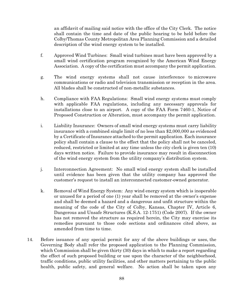an affidavit of mailing said notice with the office of the City Clerk. The notice shall contain the time and date of the public hearing to be held before the Colby/Thomas County Metropolitan Area Planning Commission and a detailed description of the wind energy system to be installed.

- f. Approved Wind Turbines: Small wind turbines must have been approved by a small wind certification program recognized by the American Wind Energy Association. A copy of the certification must accompany the permit application.
- g. The wind energy systems shall not cause interference to microwave communications or radio and television transmission or reception in the area. All blades shall be constructed of non-metallic substances.
- h. Compliance with FAA Regulations: Small wind energy systems must comply with applicable FAA regulations, including any necessary approvals for installations close to an airport. A copy of the FAA Form 7460-1, Notice of Proposed Construction or Alteration, must accompany the permit application.
- i. Liability Insurance: Owners of small wind energy systems must carry liability insurance with a combined single limit of no less than \$2,000,000 as evidenced by a Certificate of Insurance attached to the permit application. Each insurance policy shall contain a clause to the effect that the policy shall not be canceled, reduced, restricted or limited at any time unless the city clerk is given ten (10) days written notice. Failure to provide insurance may result in disconnection of the wind energy system from the utility company's distribution system.
- j. Interconnection Agreement: No small wind energy system shall be installed until evidence has been given that the utility company has approved the customer's request to install an interconnected customer-owned generator.
- k. Removal of Wind Energy System: Any wind energy system which is inoperable or unused for a period of one (1) year shall be removed at the owner's expense and shall be deemed a hazard and a dangerous and unfit structure within the meaning of the code of the City of Colby, Kansas, Chapter IV, Article 6, Dangerous and Unsafe Structures (K.S.A. 12-1751) (Code 2007). If the owner has not removed the structure as required herein, the City may exercise its remedies pursuant to those code sections and ordinances cited above, as amended from time to time.
- 14. Before issuance of any special permit for any of the above buildings or uses, the Governing Body shall refer the proposed application to the Planning Commission, which Commission shall be given thirty (30) days in which to make a report regarding the effect of such proposed building or use upon the character of the neighborhood, traffic conditions, public utility facilities, and other matters pertaining to the public health, public safety, and general welfare. No action shall be taken upon any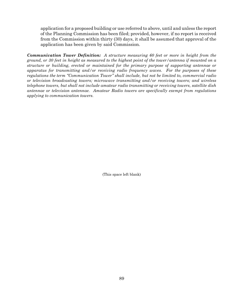application for a proposed building or use referred to above, until and unless the report of the Planning Commission has been filed; provided, however, if no report is received from the Commission within thirty (30) days, it shall be assumed that approval of the application has been given by said Commission.

*Communication Tower Definition: A structure measuring 60 feet or more in height from the ground, or 30 feet in height as measured to the highest point of the tower/antenna if mounted on a structure or building, erected or maintained for the primary purpose of supporting antennae or apparatus for transmitting and/or receiving radio frequency waves. For the purposes of these regulations the term "Communication Tower" shall include, but not be limited to, commercial radio or television broadcasting towers; microwave transmitting and/or receiving towers; and wireless telephone towers, but shall not include amateur radio transmitting or receiving towers, satellite dish antennae or television antennae. Amateur Radio towers are specifically exempt from regulations applying to communication towers.*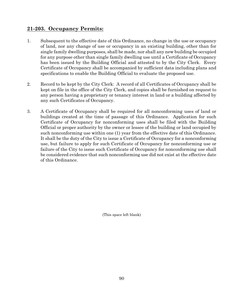# **21-203. Occupancy Permits:**

- 1. Subsequent to the effective date of this Ordinance, no change in the use or occupancy of land, nor any change of use or occupancy in an existing building, other than for single family dwelling purposes, shall be made, nor shall any new building be occupied for any purpose other than single family dwelling use until a Certificate of Occupancy has been issued by the Building Official and attested to by the City Clerk. Every Certificate of Occupancy shall be accompanied by sufficient data including plans and specifications to enable the Building Official to evaluate the proposed use.
- 2. Record to be kept by the City Clerk: A record of all Certificates of Occupancy shall be kept on file in the office of the City Clerk, and copies shall be furnished on request to any person having a proprietary or tenancy interest in land or a building affected by any such Certificates of Occupancy.
- 3. A Certificate of Occupancy shall be required for all nonconforming uses of land or buildings created at the time of passage of this Ordinance. Application for such Certificate of Occupancy for nonconforming uses shall be filed with the Building Official or proper authority by the owner or lessee of the building or land occupied by such nonconforming use within one (1) year from the effective date of this Ordinance. It shall be the duty of the City to issue a Certificate of Occupancy for a nonconforming use, but failure to apply for such Certificate of Occupancy for nonconforming use or failure of the City to issue such Certificate of Occupancy for nonconforming use shall be considered evidence that such nonconforming use did not exist at the effective date of this Ordinance.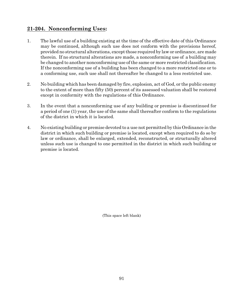# **21-204. Nonconforming Uses:**

- 1. The lawful use of a building existing at the time of the effective date of this Ordinance may be continued, although such use does not conform with the provisions hereof, provided no structural alterations, except those required by law or ordinance, are made therein. If no structural alterations are made, a nonconforming use of a building may be changed to another nonconforming use of the same or more restricted classification. If the nonconforming use of a building has been changed to a more restricted one or to a conforming use, such use shall not thereafter be changed to a less restricted use.
- 2. No building which has been damaged by fire, explosion, act of God, or the public enemy to the extent of more than fifty (50) percent of its assessed valuation shall be restored except in conformity with the regulations of this Ordinance.
- 3. In the event that a nonconforming use of any building or premise is discontinued for a period of one (1) year, the use of the same shall thereafter conform to the regulations of the district in which it is located.
- 4. No existing building or premise devoted to a use not permitted by this Ordinance in the district in which such building or premise is located, except when required to do so by law or ordinance, shall be enlarged, extended, reconstructed, or structurally altered unless such use is changed to one permitted in the district in which such building or premise is located.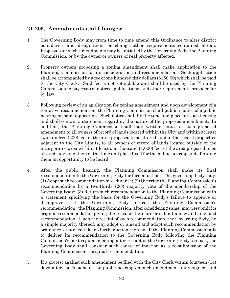### **21-205. Amendments and Changes:**

- 1. The Governing Body may from time to time amend this Ordinance to alter district boundaries and designations or change other requirements contained herein. Proposals for such amendments may be initiated by the Governing Body, the Planning Commission, or by the owner or owners of real property affected.
- 2. Property owners proposing a zoning amendment shall make application to the Planning Commission for its consideration and recommendation. Such application shall be accompanied by a fee of one hundred fifty dollars (\$150.00) which shall be paid to the City Clerk. Said fee is not refundable and shall be used by the Planning Commission to pay costs of notices, publications, and other requirements provided for by law.
- 3. Following review of an application for zoning amendment and upon development of a tentative recommendation, the Planning Commission shall publish notice of a public hearing on said application. Such notice shall fix the time and place for such hearing and shall contain a statement regarding the nature of the proposed amendment. In addition, the Planning Commission shall mail written notice of such proposed amendment to all owners of record of lands located within the City and within at least two hundred (200) feet of the area proposed to be altered, and in the case of properties adjacent to the City Limits, to all owners of record of lands located outside of the incorporated area within at least one thousand (1,000) feet of the area proposed to be altered, advising them of the time and place fixed for the public hearing and affording them an opportunity to be heard.
- 4. After the public hearing, the Planning Commission shall make its final recommendation to the Governing Body for formal action. The governing body may:  $(1)$  Adopt such recommendation by ordinance;  $(2)$  Override the Planning Commission's recommendation by a two-thirds (2/3) majority vote of the membership of the Governing Body; (3) Return such recommendation to the Planning Commission with a statement specifying the basis for the Governing Body's failure to approve or disapprove. If the Governing Body returns the Planning Commission's recommendation, the Planning Commission, after considering same, may resubmit its original recommendation giving the reasons therefore or submit a new and amended recommendation. Upon the receipt of such recommendation, the Governing Body, by a simple majority thereof, may adopt or amend and adopt such recommendation by ordinance, or it need take no further action thereon. If the Planning Commission fails to deliver its recommendation to the Governing Body following the Planning Commission's next regular meeting after receipt of the Governing Body's report, the Governing Body shall consider such course of inaction as a re-submission of the Planning Commission's original recommendation.
- 5. If a protest against such amendment be filed with the City Clerk within fourteen (14) days after conclusions of the public hearing on such amendment, duly signed, and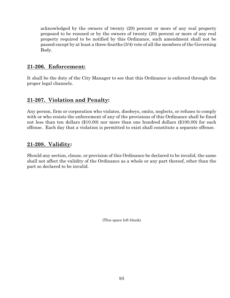acknowledged by the owners of twenty (20) percent or more of any real property proposed to be rezoned or by the owners of twenty (20) percent or more of any real property required to be notified by this Ordinance, such amendment shall not be passed except by at least a three-fourths (3/4) vote of all the members of the Governing Body.

# **21-206. Enforcement:**

It shall be the duty of the City Manager to see that this Ordinance is enforced through the proper legal channels.

# **21-207. Violation and Penalty:**

Any person, firm or corporation who violates, disobeys, omits, neglects, or refuses to comply with or who resists the enforcement of any of the provisions of this Ordinance shall be fined not less than ten dollars (\$10.00) nor more than one hundred dollars (\$100.00) for each offense. Each day that a violation is permitted to exist shall constitute a separate offense.

# **21-208. Validity:**

Should any section, clause, or provision of this Ordinance be declared to be invalid, the same shall not affect the validity of the Ordinance as a whole or any part thereof, other than the part so declared to be invalid.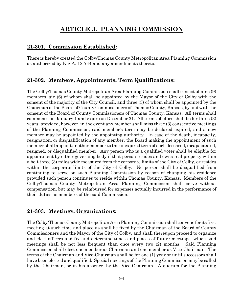# **ARTICLE 3. PLANNING COMMISSION**

# **21-301. Commission Established:**

There is hereby created the Colby/Thomas County Metropolitan Area Planning Commission as authorized by K.S.A. 12-744 and any amendments thereto.

# **21-302. Members, Appointments, Term Qualifications:**

The Colby/Thomas County Metropolitan Area Planning Commission shall consist of nine (9) members, six (6) of whom shall be appointed by the Mayor of the City of Colby with the consent of the majority of the City Council, and three (3) of whom shall be appointed by the Chairman of the Board of County Commissioners of Thomas County, Kansas, by and with the consent of the Board of County Commissioners of Thomas County, Kansas. All terms shall commence on January 1 and expire on December 31. All terms of office shall be for three (3) years; provided, however, in the event any member shall miss three (3) consecutive meetings of the Planning Commission, said member's term may be declared expired, and a new member may be appointed by the appointing authority. In case of the death, incapacity, resignation, or disqualification of any member, the Board making the appointment of such member shall appoint another member to the unexpired term of such deceased, incapacitated, resigned, or disqualified member. Any person who is a qualified voter shall be eligible for appointment by either governing body if that person resides and owns real property within a belt three (3) miles wide measured from the corporate limits of the City of Colby, or resides within the corporate limits of the City of Colby. No person shall be disqualified from continuing to serve on such Planning Commission by reason of changing his residence provided such person continues to reside within Thomas County, Kansas. Members of the Colby/Thomas County Metropolitan Area Planning Commission shall serve without compensation, but may be reimbursed for expenses actually incurred in the performance of their duties as members of the said Commission.

# **21-303. Meetings, Organizations:**

The Colby/Thomas County Metropolitan Area Planning Commission shall convene for its first meeting at such time and place as shall be fixed by the Chairman of the Board of County Commissioners and the Mayor of the City of Colby, and shall thereupon proceed to organize and elect officers and fix and determine times and places of future meetings, which said meetings shall be not less frequent than once every two (2) months. Said Planning Commission shall elect one member as Chairman and one member as Vice-Chairman. The terms of the Chairman and Vice-Chairman shall be for one (1) year or until successors shall have been elected and qualified. Special meetings of the Planning Commission may be called by the Chairman, or in his absence, by the Vice-Chairman. A quorum for the Planning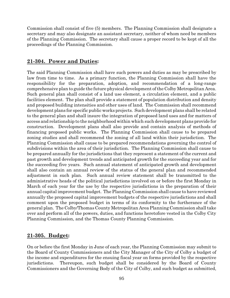Commission shall consist of five (5) members. The Planning Commission shall designate a secretary and may also designate an assistant secretary, neither of whom need be members of the Planning Commission. The secretary shall cause a proper record to be kept of all the proceedings of the Planning Commission.

# **21-304. Power and Duties:**

The said Planning Commission shall have such powers and duties as may be prescribed by law from time to time. As a primary function, the Planning Commission shall have the responsibility for the preparation, adoption, and recommendation of a long-range comprehensive plan to guide the future physical development of the Colby Metropolitan Area. Such general plan shall consist of a land use element, a circulation element, and a public facilities element. The plan shall provide a statement of population distribution and density and proposed building intensities and other uses of land. The Commission shall recommend development plans for specific public works projects. Such development plans shall be related to the general plan and shall insure the integration of proposed land uses and for matters of access and relationship to the neighborhood within which such development plans provide for construction. Development plans shall also provide and contain analysis of methods of financing proposed public works. The Planning Commission shall cause to be prepared zoning studies and shall recommend the zoning of all land within their jurisdiction. The Planning Commission shall cause to be prepared recommendations governing the control of subdivisions within the area of their jurisdiction. The Planning Commission shall cause to be prepared annually for the jurisdictions that they represent a statement of the current and past growth and development trends and anticipated growth for the succeeding year and for the succeeding five years. Such annual statement of anticipated growth and development shall also contain an annual review of the status of the general plan and recommended adjustment in such plan. Such annual review statement shall be transmitted to the administrative heads of the political jurisdictions involved on or before the first Monday in March of each year for the use by the respective jurisdictions in the preparation of their annual capital improvement budget. The Planning Commission shall cause to have reviewed annually the proposed capital improvement budgets of the respective jurisdictions and shall comment upon the proposed budget in terms of its conformity to the furtherance of the general plan. The Colby/Thomas County Metropolitan Area Planning Commission shalltake over and perform all of the powers, duties, and functions heretofore vested in the Colby City Planning Commission, and the Thomas County Planning Commission.

# **21-305. Budget:**

On or before the first Monday in June of each year, the Planning Commission may submit to the Board of County Commissioners and the City Manager of the City of Colby a budget of the income and expenditures for the ensuing fiscal year on forms provided by the respective jurisdictions. Thereupon, such budget shall be considered by the Board of County Commissioners and the Governing Body of the City of Colby, and such budget as submitted,